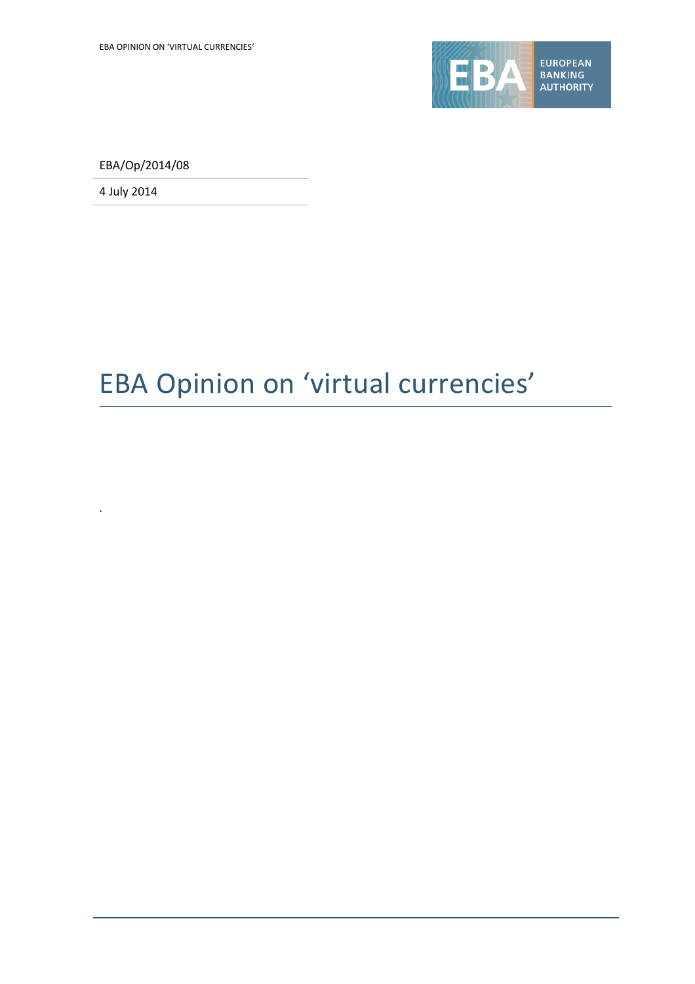

EBA/Op/2014/08

4 July 2014

.

# EBA Opinion on 'virtual currencies'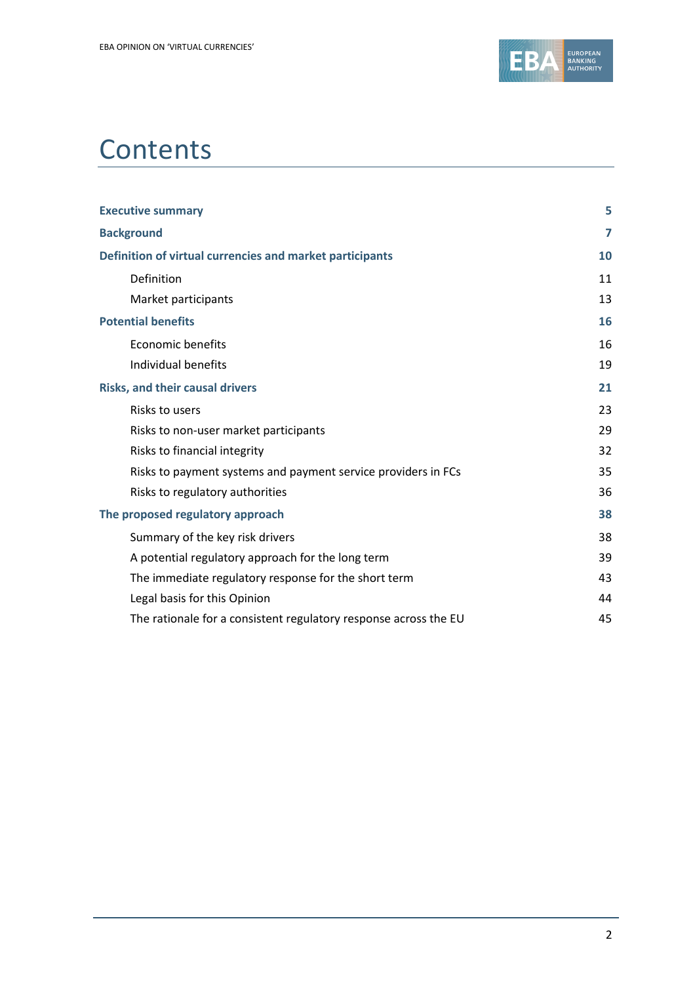

# **Contents**

| <b>Executive summary</b>                                         | 5  |
|------------------------------------------------------------------|----|
| <b>Background</b>                                                | 7  |
| Definition of virtual currencies and market participants         | 10 |
| Definition                                                       | 11 |
| Market participants                                              | 13 |
| <b>Potential benefits</b>                                        | 16 |
| <b>Economic benefits</b>                                         | 16 |
| Individual benefits                                              | 19 |
| <b>Risks, and their causal drivers</b>                           | 21 |
| Risks to users                                                   | 23 |
| Risks to non-user market participants                            | 29 |
| Risks to financial integrity                                     | 32 |
| Risks to payment systems and payment service providers in FCs    | 35 |
| Risks to regulatory authorities                                  | 36 |
| The proposed regulatory approach                                 | 38 |
| Summary of the key risk drivers                                  | 38 |
| A potential regulatory approach for the long term                | 39 |
| The immediate regulatory response for the short term             | 43 |
| Legal basis for this Opinion                                     | 44 |
| The rationale for a consistent regulatory response across the EU | 45 |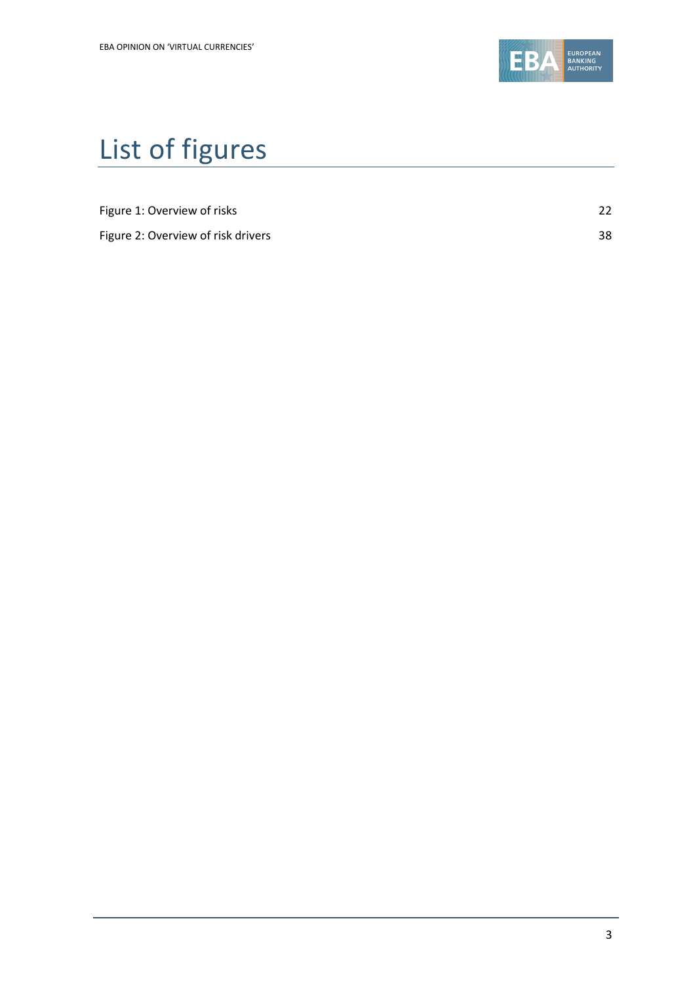

# List of figures

| Figure 1: Overview of risks |  |
|-----------------------------|--|

Figure 2: Overview of risk drivers 38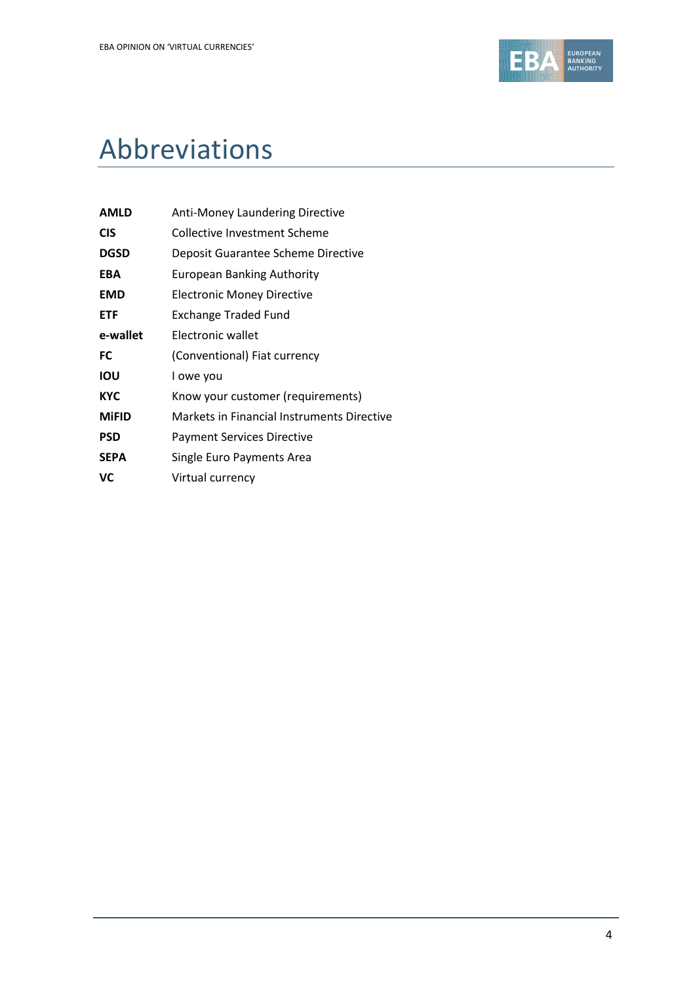

# Abbreviations

| <b>AMLD</b>  | <b>Anti-Money Laundering Directive</b>     |
|--------------|--------------------------------------------|
| <b>CIS</b>   | <b>Collective Investment Scheme</b>        |
| <b>DGSD</b>  | Deposit Guarantee Scheme Directive         |
| <b>EBA</b>   | European Banking Authority                 |
| <b>EMD</b>   | <b>Electronic Money Directive</b>          |
| <b>ETF</b>   | Exchange Traded Fund                       |
| e-wallet     | Electronic wallet                          |
| FC           | (Conventional) Fiat currency               |
| IOU          | I owe you                                  |
| <b>KYC</b>   | Know your customer (requirements)          |
| <b>MIFID</b> | Markets in Financial Instruments Directive |
| <b>PSD</b>   | <b>Payment Services Directive</b>          |
| <b>SEPA</b>  | Single Euro Payments Area                  |
| <b>VC</b>    | Virtual currency                           |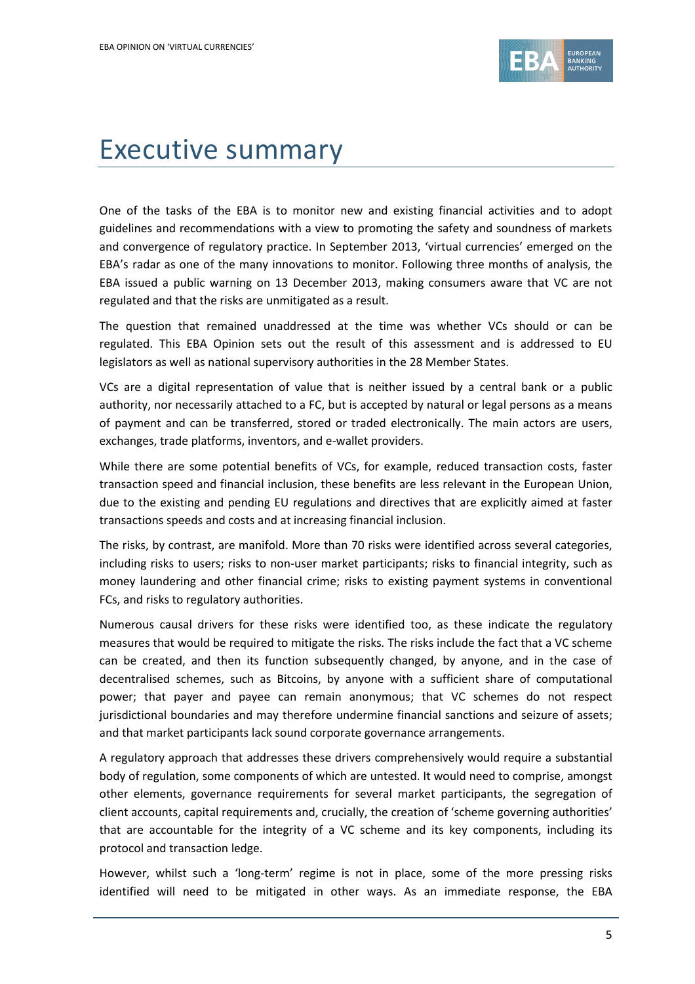

# Executive summary

One of the tasks of the EBA is to monitor new and existing financial activities and to adopt guidelines and recommendations with a view to promoting the safety and soundness of markets and convergence of regulatory practice. In September 2013, 'virtual currencies' emerged on the EBA's radar as one of the many innovations to monitor. Following three months of analysis, the EBA issued a public warning on 13 December 2013, making consumers aware that VC are not regulated and that the risks are unmitigated as a result.

The question that remained unaddressed at the time was whether VCs should or can be regulated. This EBA Opinion sets out the result of this assessment and is addressed to EU legislators as well as national supervisory authorities in the 28 Member States.

VCs are a digital representation of value that is neither issued by a central bank or a public authority, nor necessarily attached to a FC, but is accepted by natural or legal persons as a means of payment and can be transferred, stored or traded electronically. The main actors are users, exchanges, trade platforms, inventors, and e-wallet providers.

While there are some potential benefits of VCs, for example, reduced transaction costs, faster transaction speed and financial inclusion, these benefits are less relevant in the European Union, due to the existing and pending EU regulations and directives that are explicitly aimed at faster transactions speeds and costs and at increasing financial inclusion.

The risks, by contrast, are manifold. More than 70 risks were identified across several categories, including risks to users; risks to non-user market participants; risks to financial integrity, such as money laundering and other financial crime; risks to existing payment systems in conventional FCs, and risks to regulatory authorities.

Numerous causal drivers for these risks were identified too, as these indicate the regulatory measures that would be required to mitigate the risks. The risks include the fact that a VC scheme can be created, and then its function subsequently changed, by anyone, and in the case of decentralised schemes, such as Bitcoins, by anyone with a sufficient share of computational power; that payer and payee can remain anonymous; that VC schemes do not respect jurisdictional boundaries and may therefore undermine financial sanctions and seizure of assets; and that market participants lack sound corporate governance arrangements.

A regulatory approach that addresses these drivers comprehensively would require a substantial body of regulation, some components of which are untested. It would need to comprise, amongst other elements, governance requirements for several market participants, the segregation of client accounts, capital requirements and, crucially, the creation of 'scheme governing authorities' that are accountable for the integrity of a VC scheme and its key components, including its protocol and transaction ledge.

However, whilst such a 'long-term' regime is not in place, some of the more pressing risks identified will need to be mitigated in other ways. As an immediate response, the EBA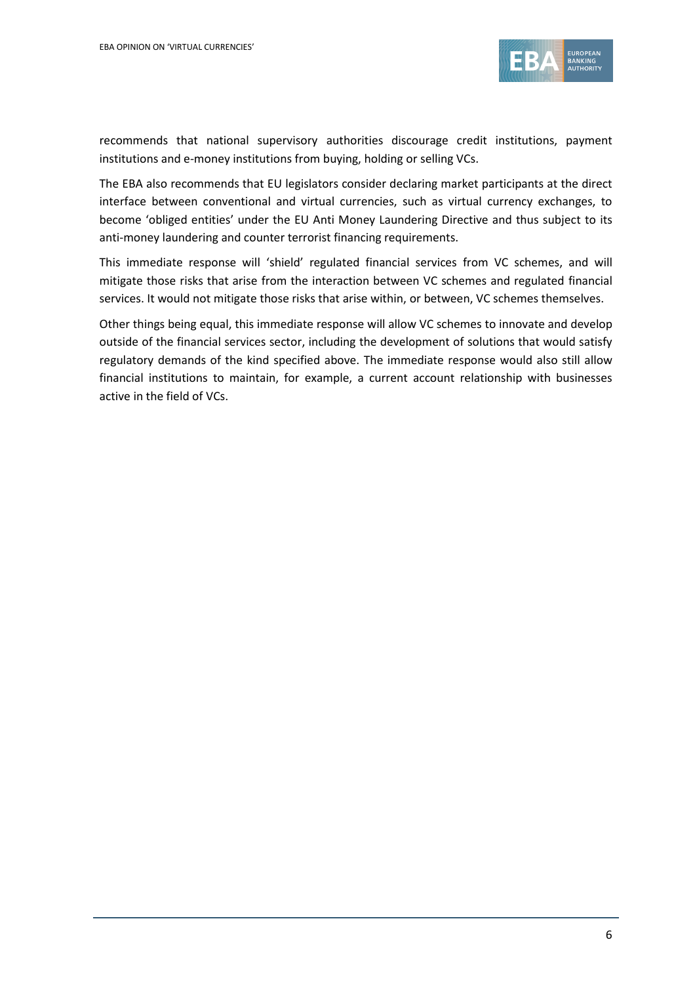

recommends that national supervisory authorities discourage credit institutions, payment institutions and e-money institutions from buying, holding or selling VCs.

The EBA also recommends that EU legislators consider declaring market participants at the direct interface between conventional and virtual currencies, such as virtual currency exchanges, to become 'obliged entities' under the EU Anti Money Laundering Directive and thus subject to its anti-money laundering and counter terrorist financing requirements.

This immediate response will 'shield' regulated financial services from VC schemes, and will mitigate those risks that arise from the interaction between VC schemes and regulated financial services. It would not mitigate those risks that arise within, or between, VC schemes themselves.

Other things being equal, this immediate response will allow VC schemes to innovate and develop outside of the financial services sector, including the development of solutions that would satisfy regulatory demands of the kind specified above. The immediate response would also still allow financial institutions to maintain, for example, a current account relationship with businesses active in the field of VCs.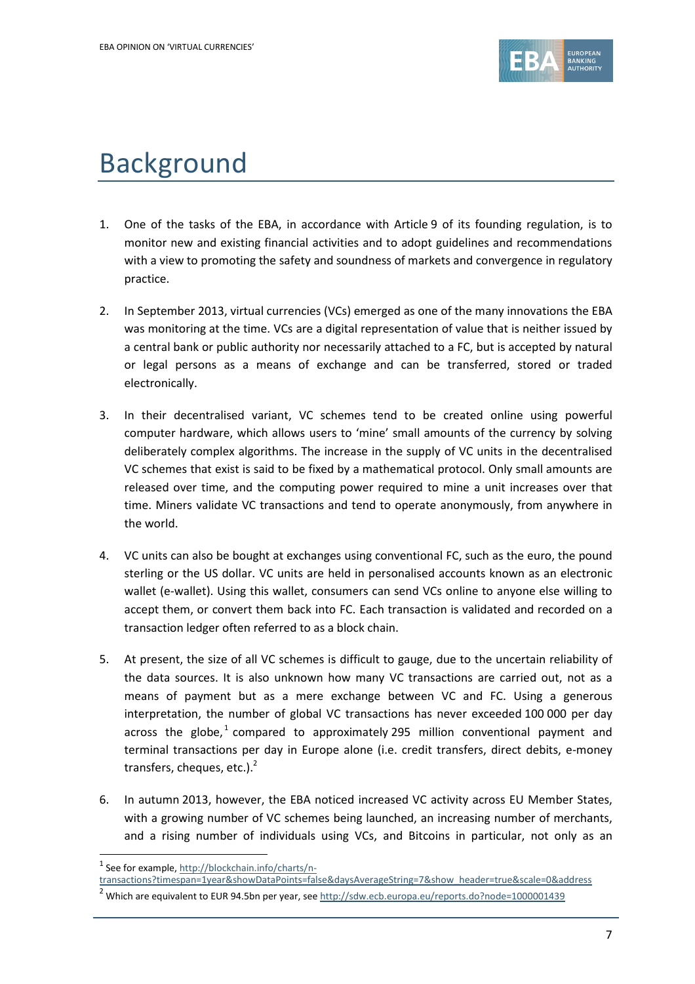

# Background

- 1. One of the tasks of the EBA, in accordance with Article 9 of its founding regulation, is to monitor new and existing financial activities and to adopt guidelines and recommendations with a view to promoting the safety and soundness of markets and convergence in regulatory practice.
- 2. In September 2013, virtual currencies (VCs) emerged as one of the many innovations the EBA was monitoring at the time. VCs are a digital representation of value that is neither issued by a central bank or public authority nor necessarily attached to a FC, but is accepted by natural or legal persons as a means of exchange and can be transferred, stored or traded electronically.
- 3. In their decentralised variant, VC schemes tend to be created online using powerful computer hardware, which allows users to 'mine' small amounts of the currency by solving deliberately complex algorithms. The increase in the supply of VC units in the decentralised VC schemes that exist is said to be fixed by a mathematical protocol. Only small amounts are released over time, and the computing power required to mine a unit increases over that time. Miners validate VC transactions and tend to operate anonymously, from anywhere in the world.
- 4. VC units can also be bought at exchanges using conventional FC, such as the euro, the pound sterling or the US dollar. VC units are held in personalised accounts known as an electronic wallet (e-wallet). Using this wallet, consumers can send VCs online to anyone else willing to accept them, or convert them back into FC. Each transaction is validated and recorded on a transaction ledger often referred to as a block chain.
- 5. At present, the size of all VC schemes is difficult to gauge, due to the uncertain reliability of the data sources. It is also unknown how many VC transactions are carried out, not as a means of payment but as a mere exchange between VC and FC. Using a generous interpretation, the number of global VC transactions has never exceeded 100 000 per day across the globe,<sup>1</sup> compared to approximately 295 million conventional payment and terminal transactions per day in Europe alone (i.e. credit transfers, direct debits, e-money transfers, cheques, etc.).<sup>2</sup>
- 6. In autumn 2013, however, the EBA noticed increased VC activity across EU Member States, with a growing number of VC schemes being launched, an increasing number of merchants, and a rising number of individuals using VCs, and Bitcoins in particular, not only as an

1

<sup>&</sup>lt;sup>1</sup> See for example, [http://blockchain.info/charts/n-](http://blockchain.info/charts/n-transactions?timespan=1year&showDataPoints=false&daysAverageString=7&show_header=true&scale=0&address)

[transactions?timespan=1year&showDataPoints=false&daysAverageString=7&show\\_header=true&scale=0&address](http://blockchain.info/charts/n-transactions?timespan=1year&showDataPoints=false&daysAverageString=7&show_header=true&scale=0&address)

<sup>&</sup>lt;sup>2</sup> Which are equivalent to EUR 94.5bn per year, se[e http://sdw.ecb.europa.eu/reports.do?node=1000001439](http://sdw.ecb.europa.eu/reports.do?node=1000001439)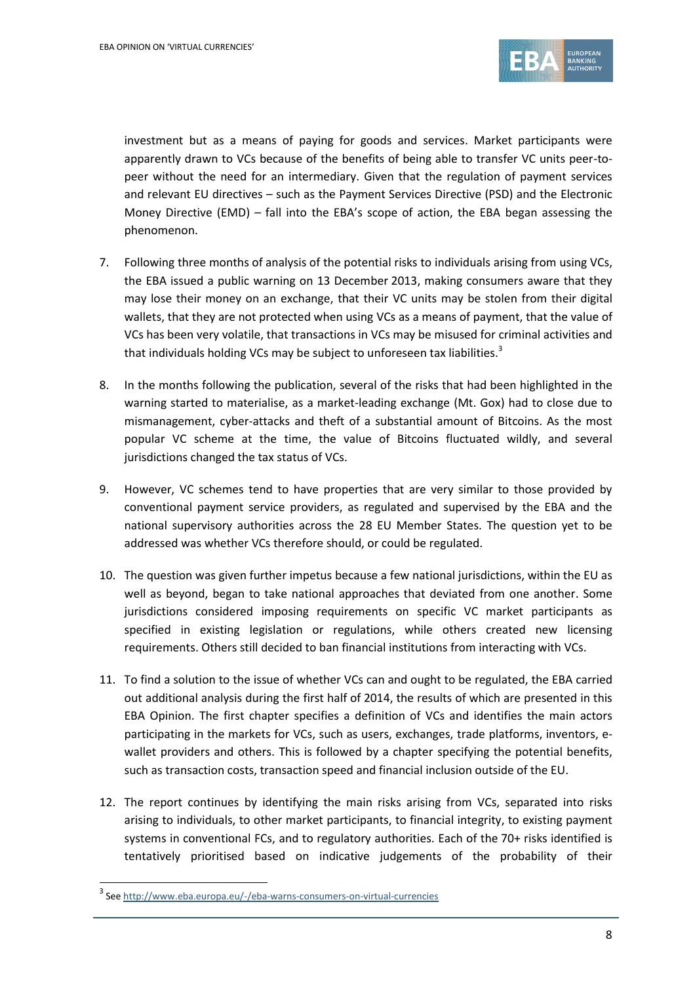

investment but as a means of paying for goods and services. Market participants were apparently drawn to VCs because of the benefits of being able to transfer VC units peer-topeer without the need for an intermediary. Given that the regulation of payment services and relevant EU directives – such as the Payment Services Directive (PSD) and the Electronic Money Directive (EMD) – fall into the EBA's scope of action, the EBA began assessing the phenomenon.

- 7. Following three months of analysis of the potential risks to individuals arising from using VCs, the EBA issued a public warning on 13 December 2013, making consumers aware that they may lose their money on an exchange, that their VC units may be stolen from their digital wallets, that they are not protected when using VCs as a means of payment, that the value of VCs has been very volatile, that transactions in VCs may be misused for criminal activities and that individuals holding VCs may be subject to unforeseen tax liabilities.<sup>3</sup>
- 8. In the months following the publication, several of the risks that had been highlighted in the warning started to materialise, as a market-leading exchange (Mt. Gox) had to close due to mismanagement, cyber-attacks and theft of a substantial amount of Bitcoins. As the most popular VC scheme at the time, the value of Bitcoins fluctuated wildly, and several jurisdictions changed the tax status of VCs.
- 9. However, VC schemes tend to have properties that are very similar to those provided by conventional payment service providers, as regulated and supervised by the EBA and the national supervisory authorities across the 28 EU Member States. The question yet to be addressed was whether VCs therefore should, or could be regulated.
- 10. The question was given further impetus because a few national jurisdictions, within the EU as well as beyond, began to take national approaches that deviated from one another. Some jurisdictions considered imposing requirements on specific VC market participants as specified in existing legislation or regulations, while others created new licensing requirements. Others still decided to ban financial institutions from interacting with VCs.
- 11. To find a solution to the issue of whether VCs can and ought to be regulated, the EBA carried out additional analysis during the first half of 2014, the results of which are presented in this EBA Opinion. The first chapter specifies a definition of VCs and identifies the main actors participating in the markets for VCs, such as users, exchanges, trade platforms, inventors, ewallet providers and others. This is followed by a chapter specifying the potential benefits, such as transaction costs, transaction speed and financial inclusion outside of the EU.
- 12. The report continues by identifying the main risks arising from VCs, separated into risks arising to individuals, to other market participants, to financial integrity, to existing payment systems in conventional FCs, and to regulatory authorities. Each of the 70+ risks identified is tentatively prioritised based on indicative judgements of the probability of their

1

<sup>3</sup> See<http://www.eba.europa.eu/-/eba-warns-consumers-on-virtual-currencies>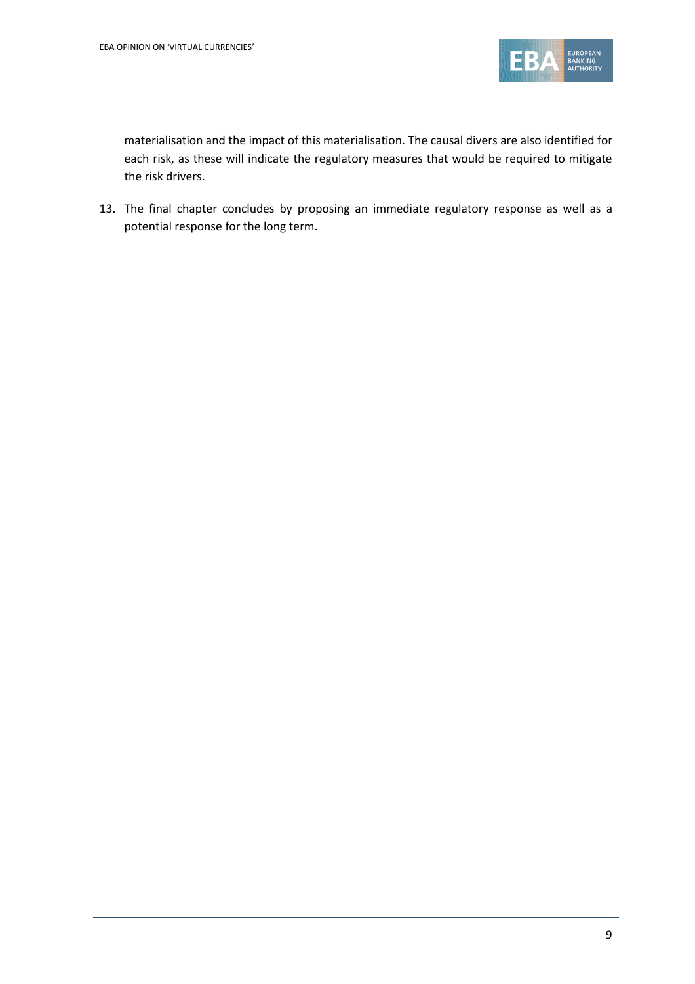

materialisation and the impact of this materialisation. The causal divers are also identified for each risk, as these will indicate the regulatory measures that would be required to mitigate the risk drivers.

13. The final chapter concludes by proposing an immediate regulatory response as well as a potential response for the long term.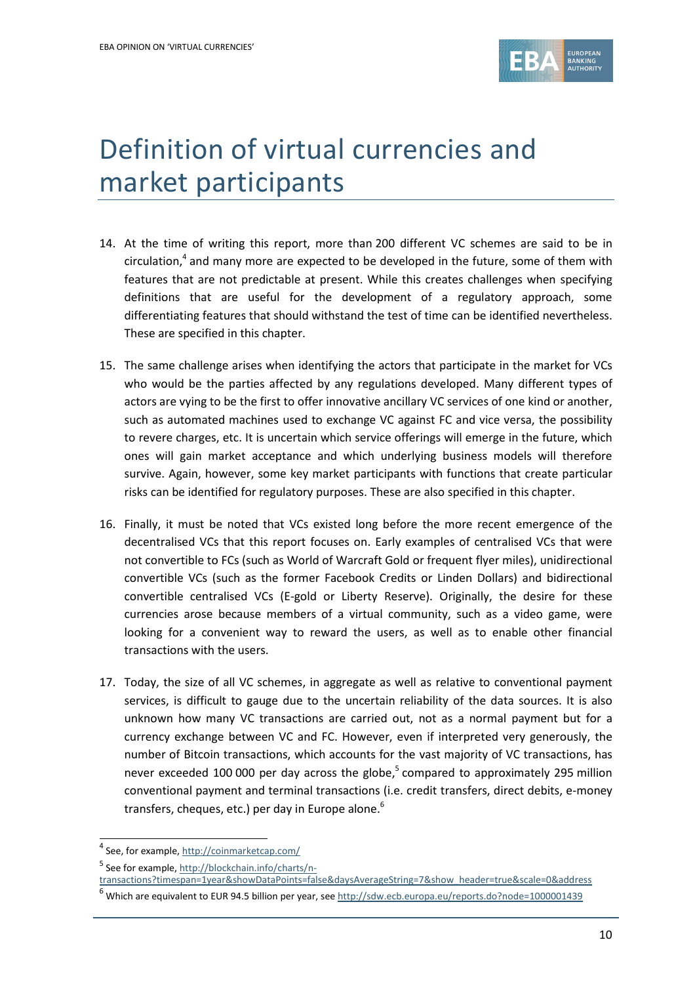

# Definition of virtual currencies and market participants

- 14. At the time of writing this report, more than 200 different VC schemes are said to be in circulation,<sup>4</sup> and many more are expected to be developed in the future, some of them with features that are not predictable at present. While this creates challenges when specifying definitions that are useful for the development of a regulatory approach, some differentiating features that should withstand the test of time can be identified nevertheless. These are specified in this chapter.
- 15. The same challenge arises when identifying the actors that participate in the market for VCs who would be the parties affected by any regulations developed. Many different types of actors are vying to be the first to offer innovative ancillary VC services of one kind or another, such as automated machines used to exchange VC against FC and vice versa, the possibility to revere charges, etc. It is uncertain which service offerings will emerge in the future, which ones will gain market acceptance and which underlying business models will therefore survive. Again, however, some key market participants with functions that create particular risks can be identified for regulatory purposes. These are also specified in this chapter.
- 16. Finally, it must be noted that VCs existed long before the more recent emergence of the decentralised VCs that this report focuses on. Early examples of centralised VCs that were not convertible to FCs (such as World of Warcraft Gold or frequent flyer miles), unidirectional convertible VCs (such as the former Facebook Credits or Linden Dollars) and bidirectional convertible centralised VCs (E-gold or Liberty Reserve). Originally, the desire for these currencies arose because members of a virtual community, such as a video game, were looking for a convenient way to reward the users, as well as to enable other financial transactions with the users.
- 17. Today, the size of all VC schemes, in aggregate as well as relative to conventional payment services, is difficult to gauge due to the uncertain reliability of the data sources. It is also unknown how many VC transactions are carried out, not as a normal payment but for a currency exchange between VC and FC. However, even if interpreted very generously, the number of Bitcoin transactions, which accounts for the vast majority of VC transactions, has never exceeded 100 000 per day across the globe, 5 compared to approximately 295 million conventional payment and terminal transactions (i.e. credit transfers, direct debits, e-money transfers, cheques, etc.) per day in Europe alone.<sup>6</sup>

 4 See, for example, <http://coinmarketcap.com/>

<sup>&</sup>lt;sup>5</sup> See for example, [http://blockchain.info/charts/n-](http://blockchain.info/charts/n-transactions?timespan=1year&showDataPoints=false&daysAverageString=7&show_header=true&scale=0&address)

[transactions?timespan=1year&showDataPoints=false&daysAverageString=7&show\\_header=true&scale=0&address](http://blockchain.info/charts/n-transactions?timespan=1year&showDataPoints=false&daysAverageString=7&show_header=true&scale=0&address)

<sup>&</sup>lt;sup>6</sup> Which are equivalent to EUR 94.5 billion per year, se[e http://sdw.ecb.europa.eu/reports.do?node=1000001439](http://sdw.ecb.europa.eu/reports.do?node=1000001439)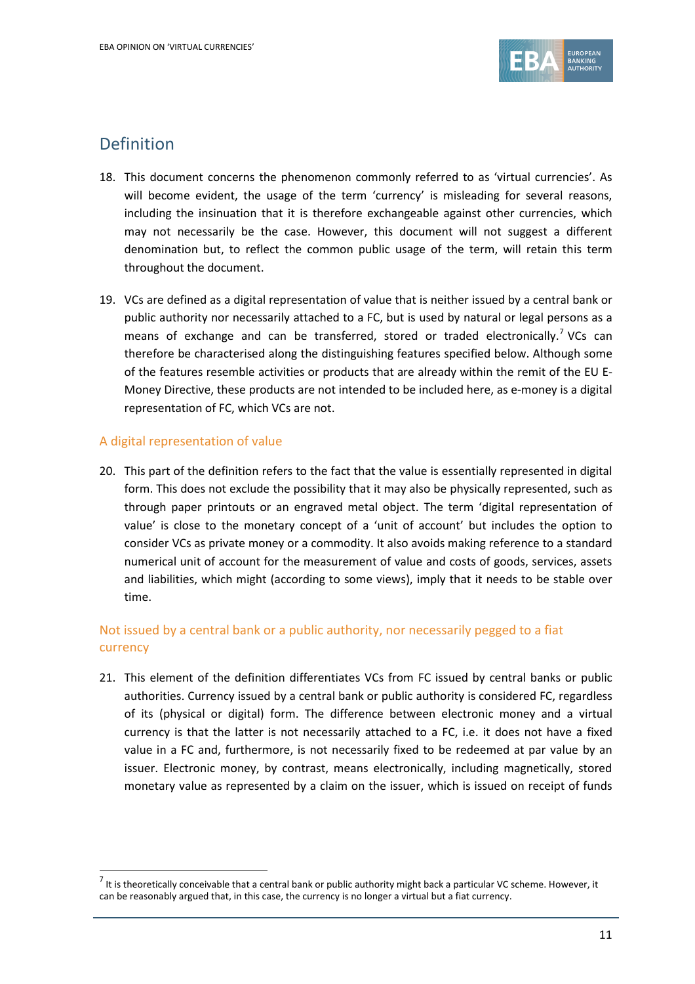

# Definition

- 18. This document concerns the phenomenon commonly referred to as 'virtual currencies'. As will become evident, the usage of the term 'currency' is misleading for several reasons, including the insinuation that it is therefore exchangeable against other currencies, which may not necessarily be the case. However, this document will not suggest a different denomination but, to reflect the common public usage of the term, will retain this term throughout the document.
- 19. VCs are defined as a digital representation of value that is neither issued by a central bank or public authority nor necessarily attached to a FC, but is used by natural or legal persons as a means of exchange and can be transferred, stored or traded electronically.<sup>7</sup> VCs can therefore be characterised along the distinguishing features specified below. Although some of the features resemble activities or products that are already within the remit of the EU E-Money Directive, these products are not intended to be included here, as e-money is a digital representation of FC, which VCs are not.

#### A digital representation of value

1

20. This part of the definition refers to the fact that the value is essentially represented in digital form. This does not exclude the possibility that it may also be physically represented, such as through paper printouts or an engraved metal object. The term 'digital representation of value' is close to the monetary concept of a 'unit of account' but includes the option to consider VCs as private money or a commodity. It also avoids making reference to a standard numerical unit of account for the measurement of value and costs of goods, services, assets and liabilities, which might (according to some views), imply that it needs to be stable over time.

## Not issued by a central bank or a public authority, nor necessarily pegged to a fiat currency

21. This element of the definition differentiates VCs from FC issued by central banks or public authorities. Currency issued by a central bank or public authority is considered FC, regardless of its (physical or digital) form. The difference between electronic money and a virtual currency is that the latter is not necessarily attached to a FC, i.e. it does not have a fixed value in a FC and, furthermore, is not necessarily fixed to be redeemed at par value by an issuer. Electronic money, by contrast, means electronically, including magnetically, stored monetary value as represented by a claim on the issuer, which is issued on receipt of funds

 $^7$  It is theoretically conceivable that a central bank or public authority might back a particular VC scheme. However, it can be reasonably argued that, in this case, the currency is no longer a virtual but a fiat currency.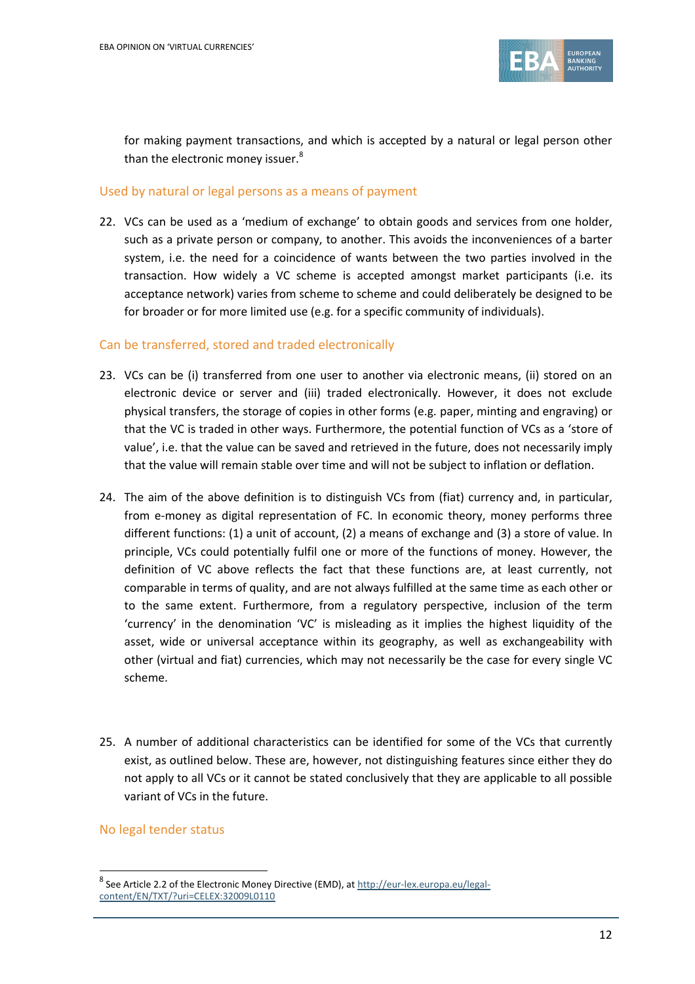

for making payment transactions, and which is accepted by a natural or legal person other than the electronic money issuer.<sup>8</sup>

#### Used by natural or legal persons as a means of payment

22. VCs can be used as a 'medium of exchange' to obtain goods and services from one holder, such as a private person or company, to another. This avoids the inconveniences of a barter system, i.e. the need for a coincidence of wants between the two parties involved in the transaction. How widely a VC scheme is accepted amongst market participants (i.e. its acceptance network) varies from scheme to scheme and could deliberately be designed to be for broader or for more limited use (e.g. for a specific community of individuals).

#### Can be transferred, stored and traded electronically

- 23. VCs can be (i) transferred from one user to another via electronic means, (ii) stored on an electronic device or server and (iii) traded electronically. However, it does not exclude physical transfers, the storage of copies in other forms (e.g. paper, minting and engraving) or that the VC is traded in other ways. Furthermore, the potential function of VCs as a 'store of value', i.e. that the value can be saved and retrieved in the future, does not necessarily imply that the value will remain stable over time and will not be subject to inflation or deflation.
- 24. The aim of the above definition is to distinguish VCs from (fiat) currency and, in particular, from e-money as digital representation of FC. In economic theory, money performs three different functions: (1) a unit of account, (2) a means of exchange and (3) a store of value. In principle, VCs could potentially fulfil one or more of the functions of money. However, the definition of VC above reflects the fact that these functions are, at least currently, not comparable in terms of quality, and are not always fulfilled at the same time as each other or to the same extent. Furthermore, from a regulatory perspective, inclusion of the term 'currency' in the denomination 'VC' is misleading as it implies the highest liquidity of the asset, wide or universal acceptance within its geography, as well as exchangeability with other (virtual and fiat) currencies, which may not necessarily be the case for every single VC scheme.
- 25. A number of additional characteristics can be identified for some of the VCs that currently exist, as outlined below. These are, however, not distinguishing features since either they do not apply to all VCs or it cannot be stated conclusively that they are applicable to all possible variant of VCs in the future.

#### No legal tender status

1

<sup>&</sup>lt;sup>8</sup> See Article 2.2 of the Electronic Money Directive (EMD), at [http://eur-lex.europa.eu/legal](http://eur-lex.europa.eu/legal-content/EN/TXT/?uri=CELEX:32009L0110)[content/EN/TXT/?uri=CELEX:32009L0110](http://eur-lex.europa.eu/legal-content/EN/TXT/?uri=CELEX:32009L0110)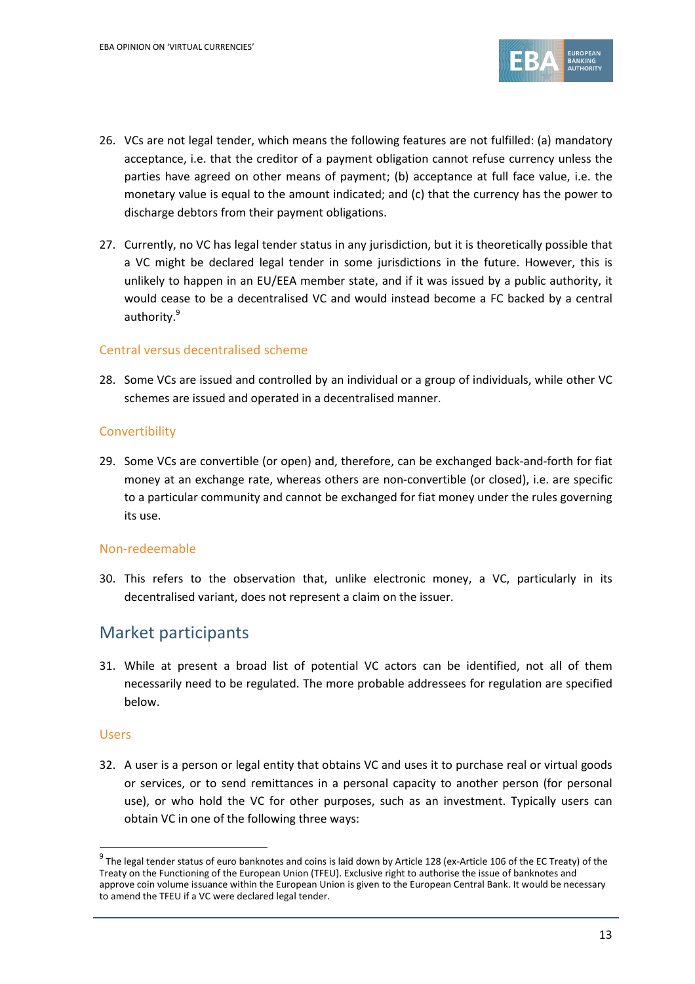

- 26. VCs are not legal tender, which means the following features are not fulfilled: (a) mandatory acceptance, i.e. that the creditor of a payment obligation cannot refuse currency unless the parties have agreed on other means of payment; (b) acceptance at full face value, i.e. the monetary value is equal to the amount indicated; and (c) that the currency has the power to discharge debtors from their payment obligations.
- 27. Currently, no VC has legal tender status in any jurisdiction, but it is theoretically possible that a VC might be declared legal tender in some jurisdictions in the future. However, this is unlikely to happen in an EU/EEA member state, and if it was issued by a public authority, it would cease to be a decentralised VC and would instead become a FC backed by a central authority.<sup>9</sup>

#### Central versus decentralised scheme

28. Some VCs are issued and controlled by an individual or a group of individuals, while other VC schemes are issued and operated in a decentralised manner.

#### **Convertibility**

29. Some VCs are convertible (or open) and, therefore, can be exchanged back-and-forth for fiat money at an exchange rate, whereas others are non-convertible (or closed), i.e. are specific to a particular community and cannot be exchanged for fiat money under the rules governing its use.

#### Non-redeemable

30. This refers to the observation that, unlike electronic money, a VC, particularly in its decentralised variant, does not represent a claim on the issuer.

## Market participants

31. While at present a broad list of potential VC actors can be identified, not all of them necessarily need to be regulated. The more probable addressees for regulation are specified below.

#### Users

1

32. A user is a person or legal entity that obtains VC and uses it to purchase real or virtual goods or services, or to send remittances in a personal capacity to another person (for personal use), or who hold the VC for other purposes, such as an investment. Typically users can obtain VC in one of the following three ways:

 $^9$  The legal tender status of euro banknotes and coins is laid down by Article 128 (ex-Article 106 of the EC Treaty) of the Treaty on the Functioning of the European Union (TFEU). Exclusive right to authorise the issue of banknotes and approve coin volume issuance within the European Union is given to the European Central Bank. It would be necessary to amend the TFEU if a VC were declared legal tender.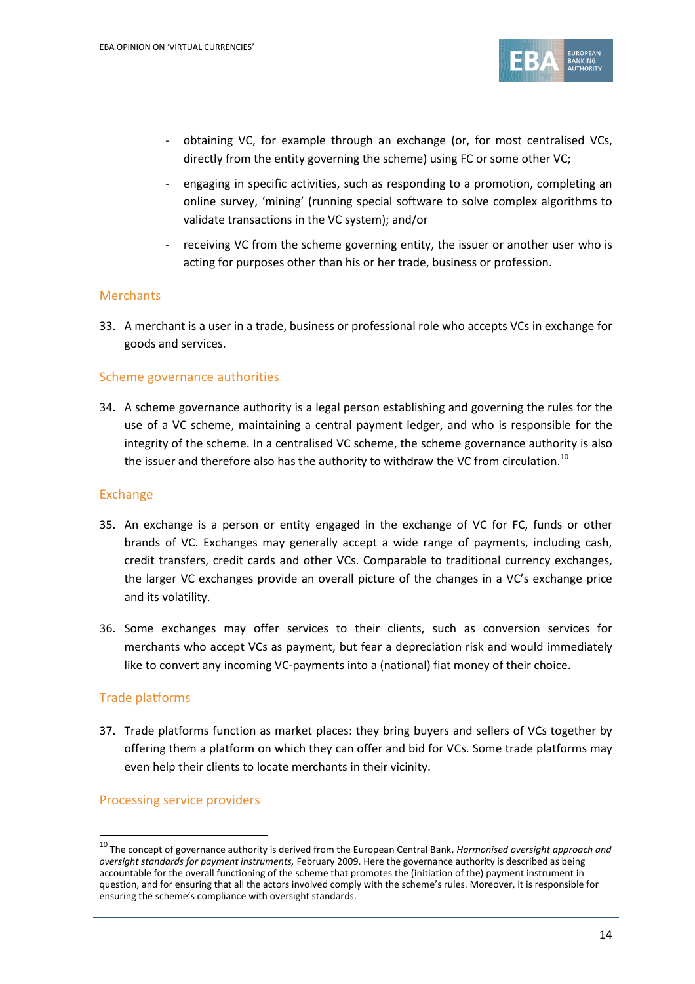

- obtaining VC, for example through an exchange (or, for most centralised VCs, directly from the entity governing the scheme) using FC or some other VC;
- engaging in specific activities, such as responding to a promotion, completing an online survey, 'mining' (running special software to solve complex algorithms to validate transactions in the VC system); and/or
- receiving VC from the scheme governing entity, the issuer or another user who is acting for purposes other than his or her trade, business or profession.

#### **Merchants**

33. A merchant is a user in a trade, business or professional role who accepts VCs in exchange for goods and services.

#### Scheme governance authorities

34. A scheme governance authority is a legal person establishing and governing the rules for the use of a VC scheme, maintaining a central payment ledger, and who is responsible for the integrity of the scheme. In a centralised VC scheme, the scheme governance authority is also the issuer and therefore also has the authority to withdraw the VC from circulation. $^{10}$ 

#### Exchange

- 35. An exchange is a person or entity engaged in the exchange of VC for FC, funds or other brands of VC. Exchanges may generally accept a wide range of payments, including cash, credit transfers, credit cards and other VCs. Comparable to traditional currency exchanges, the larger VC exchanges provide an overall picture of the changes in a VC's exchange price and its volatility.
- 36. Some exchanges may offer services to their clients, such as conversion services for merchants who accept VCs as payment, but fear a depreciation risk and would immediately like to convert any incoming VC-payments into a (national) fiat money of their choice.

#### Trade platforms

1

37. Trade platforms function as market places: they bring buyers and sellers of VCs together by offering them a platform on which they can offer and bid for VCs. Some trade platforms may even help their clients to locate merchants in their vicinity.

#### Processing service providers

<sup>10</sup> The concept of governance authority is derived from the European Central Bank, *Harmonised oversight approach and oversight standards for payment instruments,* February 2009. Here the governance authority is described as being accountable for the overall functioning of the scheme that promotes the (initiation of the) payment instrument in question, and for ensuring that all the actors involved comply with the scheme's rules. Moreover, it is responsible for ensuring the scheme's compliance with oversight standards.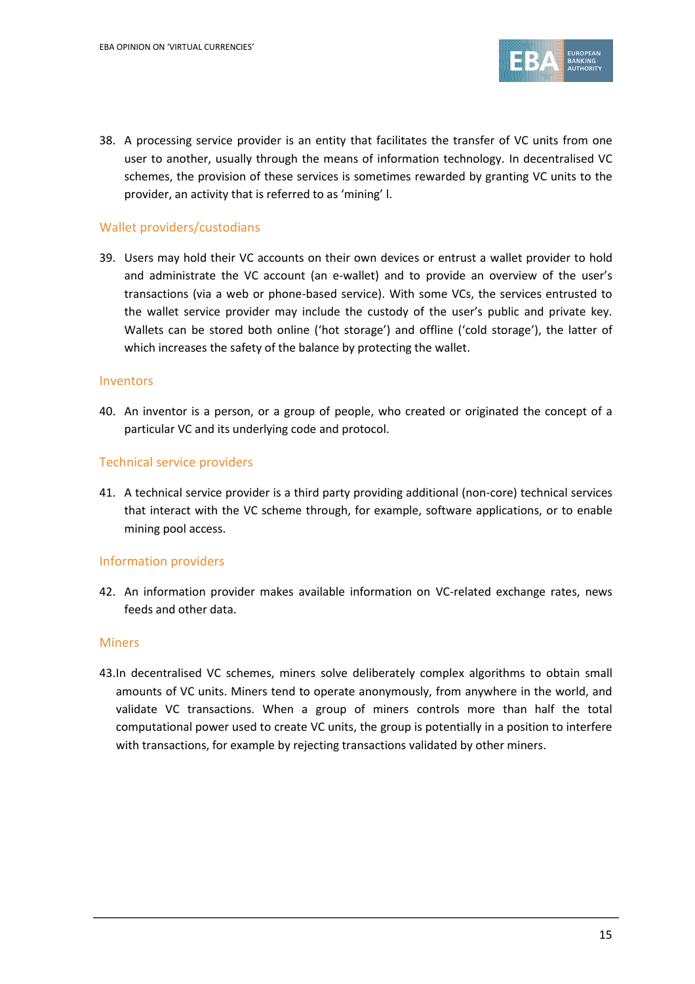

38. A processing service provider is an entity that facilitates the transfer of VC units from one user to another, usually through the means of information technology. In decentralised VC schemes, the provision of these services is sometimes rewarded by granting VC units to the provider, an activity that is referred to as 'mining' l.

#### Wallet providers/custodians

39. Users may hold their VC accounts on their own devices or entrust a wallet provider to hold and administrate the VC account (an e-wallet) and to provide an overview of the user's transactions (via a web or phone-based service). With some VCs, the services entrusted to the wallet service provider may include the custody of the user's public and private key. Wallets can be stored both online ('hot storage') and offline ('cold storage'), the latter of which increases the safety of the balance by protecting the wallet.

#### Inventors

40. An inventor is a person, or a group of people, who created or originated the concept of a particular VC and its underlying code and protocol.

#### Technical service providers

41. A technical service provider is a third party providing additional (non-core) technical services that interact with the VC scheme through, for example, software applications, or to enable mining pool access.

#### Information providers

42. An information provider makes available information on VC-related exchange rates, news feeds and other data.

#### Miners

43.In decentralised VC schemes, miners solve deliberately complex algorithms to obtain small amounts of VC units. Miners tend to operate anonymously, from anywhere in the world, and validate VC transactions. When a group of miners controls more than half the total computational power used to create VC units, the group is potentially in a position to interfere with transactions, for example by rejecting transactions validated by other miners.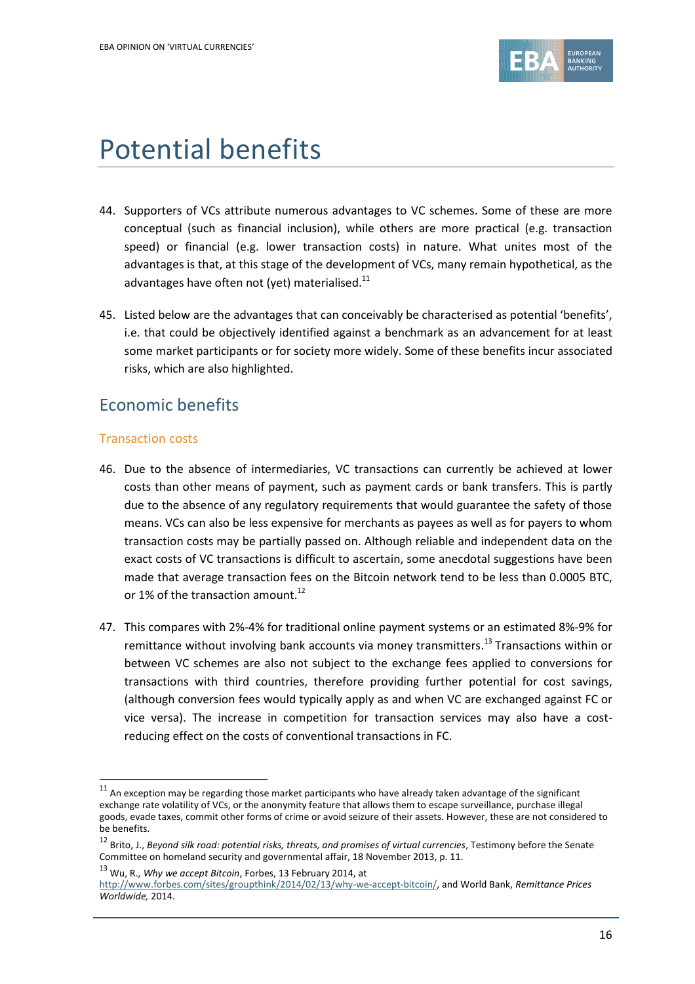

# Potential benefits

- 44. Supporters of VCs attribute numerous advantages to VC schemes. Some of these are more conceptual (such as financial inclusion), while others are more practical (e.g. transaction speed) or financial (e.g. lower transaction costs) in nature. What unites most of the advantages is that, at this stage of the development of VCs, many remain hypothetical, as the advantages have often not (yet) materialised.<sup>11</sup>
- 45. Listed below are the advantages that can conceivably be characterised as potential 'benefits', i.e. that could be objectively identified against a benchmark as an advancement for at least some market participants or for society more widely. Some of these benefits incur associated risks, which are also highlighted.

## Economic benefits

#### Transaction costs

1

- 46. Due to the absence of intermediaries, VC transactions can currently be achieved at lower costs than other means of payment, such as payment cards or bank transfers. This is partly due to the absence of any regulatory requirements that would guarantee the safety of those means. VCs can also be less expensive for merchants as payees as well as for payers to whom transaction costs may be partially passed on. Although reliable and independent data on the exact costs of VC transactions is difficult to ascertain, some anecdotal suggestions have been made that average transaction fees on the Bitcoin network tend to be less than 0.0005 BTC, or 1% of the transaction amount.<sup>12</sup>
- 47. This compares with 2%-4% for traditional online payment systems or an estimated 8%-9% for remittance without involving bank accounts via money transmitters.<sup>13</sup> Transactions within or between VC schemes are also not subject to the exchange fees applied to conversions for transactions with third countries, therefore providing further potential for cost savings, (although conversion fees would typically apply as and when VC are exchanged against FC or vice versa). The increase in competition for transaction services may also have a costreducing effect on the costs of conventional transactions in FC.

 $11$  An exception may be regarding those market participants who have already taken advantage of the significant exchange rate volatility of VCs, or the anonymity feature that allows them to escape surveillance, purchase illegal goods, evade taxes, commit other forms of crime or avoid seizure of their assets. However, these are not considered to be benefits.

<sup>12</sup> Brito, J., *Beyond silk road: potential risks, threats, and promises of virtual currencies*, Testimony before the Senate Committee on homeland security and governmental affair, 18 November 2013, p. 11.

<sup>13</sup> Wu, R., *Why we accept Bitcoin*, Forbes, 13 February 2014, at

[http://www.forbes.com/sites/groupthink/2014/02/13/why-we-accept-bitcoin/,](http://www.forbes.com/sites/groupthink/2014/02/13/why-we-accept-bitcoin/) and World Bank, *Remittance Prices Worldwide,* 2014.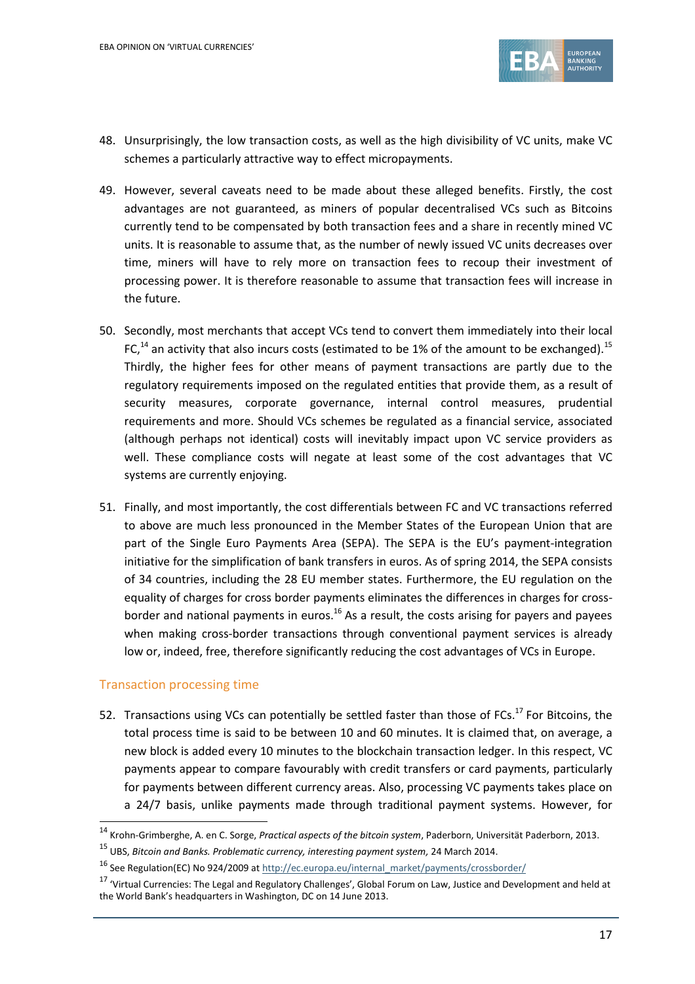

- 48. Unsurprisingly, the low transaction costs, as well as the high divisibility of VC units, make VC schemes a particularly attractive way to effect micropayments.
- 49. However, several caveats need to be made about these alleged benefits. Firstly, the cost advantages are not guaranteed, as miners of popular decentralised VCs such as Bitcoins currently tend to be compensated by both transaction fees and a share in recently mined VC units. It is reasonable to assume that, as the number of newly issued VC units decreases over time, miners will have to rely more on transaction fees to recoup their investment of processing power. It is therefore reasonable to assume that transaction fees will increase in the future.
- 50. Secondly, most merchants that accept VCs tend to convert them immediately into their local FC,<sup>14</sup> an activity that also incurs costs (estimated to be 1% of the amount to be exchanged).<sup>15</sup> Thirdly, the higher fees for other means of payment transactions are partly due to the regulatory requirements imposed on the regulated entities that provide them, as a result of security measures, corporate governance, internal control measures, prudential requirements and more. Should VCs schemes be regulated as a financial service, associated (although perhaps not identical) costs will inevitably impact upon VC service providers as well. These compliance costs will negate at least some of the cost advantages that VC systems are currently enjoying.
- 51. Finally, and most importantly, the cost differentials between FC and VC transactions referred to above are much less pronounced in the Member States of the European Union that are part of the Single Euro Payments Area (SEPA). The SEPA is the EU's payment-integration initiative for the simplification of bank transfers in euros. As of spring 2014, the SEPA consists of 34 countries, including the 28 EU member states. Furthermore, the EU regulation on the equality of charges for cross border payments eliminates the differences in charges for crossborder and national payments in euros.<sup>16</sup> As a result, the costs arising for payers and payees when making cross-border transactions through conventional payment services is already low or, indeed, free, therefore significantly reducing the cost advantages of VCs in Europe.

#### Transaction processing time

1

52. Transactions using VCs can potentially be settled faster than those of FCs.<sup>17</sup> For Bitcoins, the total process time is said to be between 10 and 60 minutes. It is claimed that, on average, a new block is added every 10 minutes to the blockchain transaction ledger. In this respect, VC payments appear to compare favourably with credit transfers or card payments, particularly for payments between different currency areas. Also, processing VC payments takes place on a 24/7 basis, unlike payments made through traditional payment systems. However, for

<sup>14</sup> Krohn-Grimberghe, A. en C. Sorge, *Practical aspects of the bitcoin system*, Paderborn, Universität Paderborn, 2013.

<sup>15</sup> UBS, *Bitcoin and Banks. Problematic currency, interesting payment system,* 24 March 2014.

<sup>16</sup> See Regulation(EC) No 924/2009 a[t http://ec.europa.eu/internal\\_market/payments/crossborder/](http://ec.europa.eu/internal_market/payments/crossborder/)

<sup>&</sup>lt;sup>17</sup> 'Virtual Currencies: The Legal and Regulatory Challenges', Global Forum on Law, Justice and Development and held at the World Bank's headquarters in Washington, DC on 14 June 2013.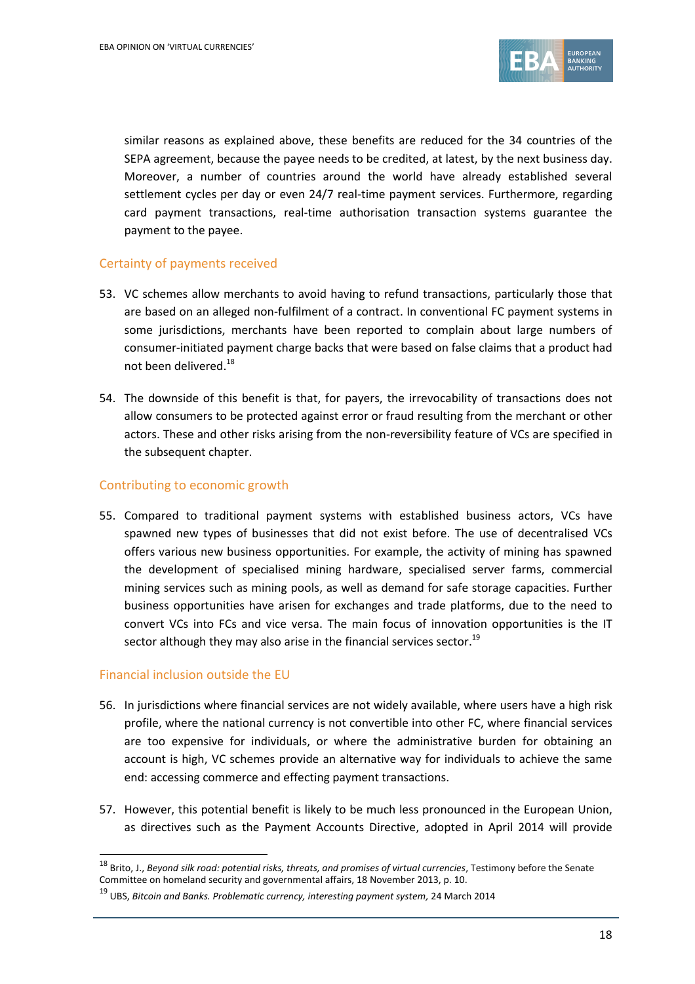

similar reasons as explained above, these benefits are reduced for the 34 countries of the SEPA agreement, because the payee needs to be credited, at latest, by the next business day. Moreover, a number of countries around the world have already established several settlement cycles per day or even 24/7 real-time payment services. Furthermore, regarding card payment transactions, real-time authorisation transaction systems guarantee the payment to the payee.

### Certainty of payments received

- 53. VC schemes allow merchants to avoid having to refund transactions, particularly those that are based on an alleged non-fulfilment of a contract. In conventional FC payment systems in some jurisdictions, merchants have been reported to complain about large numbers of consumer-initiated payment charge backs that were based on false claims that a product had not been delivered.<sup>18</sup>
- 54. The downside of this benefit is that, for payers, the irrevocability of transactions does not allow consumers to be protected against error or fraud resulting from the merchant or other actors. These and other risks arising from the non-reversibility feature of VCs are specified in the subsequent chapter.

### Contributing to economic growth

55. Compared to traditional payment systems with established business actors, VCs have spawned new types of businesses that did not exist before. The use of decentralised VCs offers various new business opportunities. For example, the activity of mining has spawned the development of specialised mining hardware, specialised server farms, commercial mining services such as mining pools, as well as demand for safe storage capacities. Further business opportunities have arisen for exchanges and trade platforms, due to the need to convert VCs into FCs and vice versa. The main focus of innovation opportunities is the IT sector although they may also arise in the financial services sector.<sup>19</sup>

#### Financial inclusion outside the EU

1

- 56. In jurisdictions where financial services are not widely available, where users have a high risk profile, where the national currency is not convertible into other FC, where financial services are too expensive for individuals, or where the administrative burden for obtaining an account is high, VC schemes provide an alternative way for individuals to achieve the same end: accessing commerce and effecting payment transactions.
- 57. However, this potential benefit is likely to be much less pronounced in the European Union, as directives such as the Payment Accounts Directive, adopted in April 2014 will provide

<sup>18</sup> Brito, J., *Beyond silk road: potential risks, threats, and promises of virtual currencies*, Testimony before the Senate Committee on homeland security and governmental affairs, 18 November 2013, p. 10.

<sup>19</sup> UBS, *Bitcoin and Banks. Problematic currency, interesting payment system,* 24 March 2014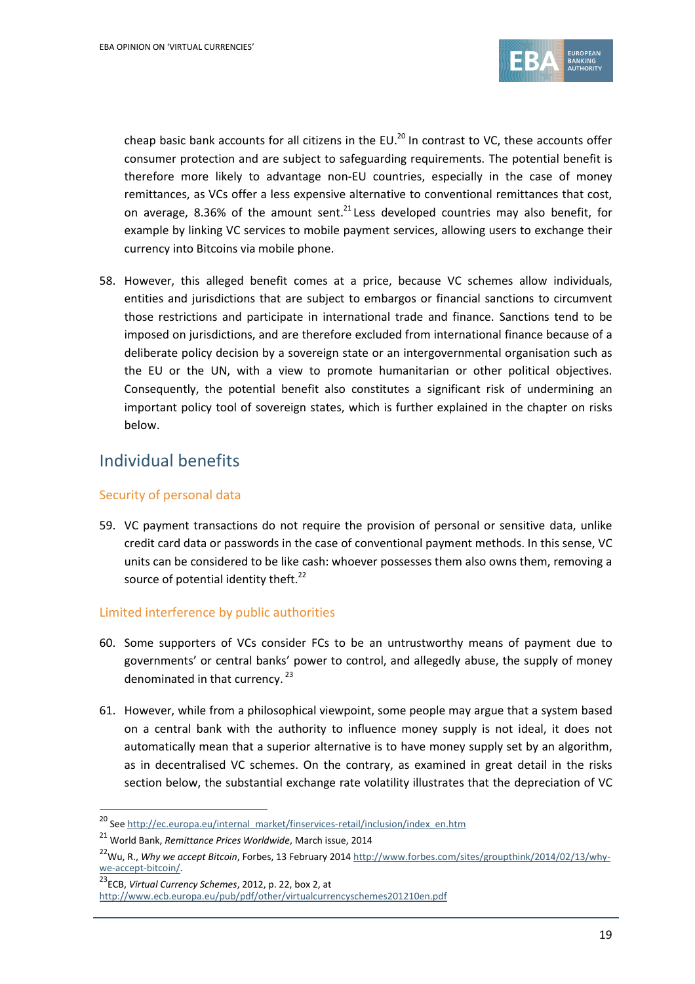

cheap basic bank accounts for all citizens in the EU.<sup>20</sup> In contrast to VC, these accounts offer consumer protection and are subject to safeguarding requirements. The potential benefit is therefore more likely to advantage non-EU countries, especially in the case of money remittances, as VCs offer a less expensive alternative to conventional remittances that cost, on average, 8.36% of the amount sent.<sup>21</sup> Less developed countries may also benefit, for example by linking VC services to mobile payment services, allowing users to exchange their currency into Bitcoins via mobile phone.

58. However, this alleged benefit comes at a price, because VC schemes allow individuals, entities and jurisdictions that are subject to embargos or financial sanctions to circumvent those restrictions and participate in international trade and finance. Sanctions tend to be imposed on jurisdictions, and are therefore excluded from international finance because of a deliberate policy decision by a sovereign state or an intergovernmental organisation such as the EU or the UN, with a view to promote humanitarian or other political objectives. Consequently, the potential benefit also constitutes a significant risk of undermining an important policy tool of sovereign states, which is further explained in the chapter on risks below.

## Individual benefits

## Security of personal data

59. VC payment transactions do not require the provision of personal or sensitive data, unlike credit card data or passwords in the case of conventional payment methods. In this sense, VC units can be considered to be like cash: whoever possesses them also owns them, removing a source of potential identity theft.<sup>22</sup>

## Limited interference by public authorities

- 60. Some supporters of VCs consider FCs to be an untrustworthy means of payment due to governments' or central banks' power to control, and allegedly abuse, the supply of money denominated in that currency.<sup>23</sup>
- 61. However, while from a philosophical viewpoint, some people may argue that a system based on a central bank with the authority to influence money supply is not ideal, it does not automatically mean that a superior alternative is to have money supply set by an algorithm, as in decentralised VC schemes. On the contrary, as examined in great detail in the risks section below, the substantial exchange rate volatility illustrates that the depreciation of VC

1

<sup>&</sup>lt;sup>20</sup> Se[e http://ec.europa.eu/internal\\_market/finservices-retail/inclusion/index\\_en.htm](http://ec.europa.eu/internal_market/finservices-retail/inclusion/index_en.htm)

<sup>21</sup> World Bank, *Remittance Prices Worldwide*, March issue, 2014

<sup>&</sup>lt;sup>22</sup>Wu, R., Why we accept Bitcoin, Forbes, 13 February 201[4 http://www.forbes.com/sites/groupthink/2014/02/13/why](http://www.forbes.com/sites/groupthink/2014/02/13/why-we-accept-bitcoin/)[we-accept-bitcoin/.](http://www.forbes.com/sites/groupthink/2014/02/13/why-we-accept-bitcoin/)

<sup>23</sup>ECB, *Virtual Currency Schemes*, 2012, p. 22, box 2, at

<http://www.ecb.europa.eu/pub/pdf/other/virtualcurrencyschemes201210en.pdf>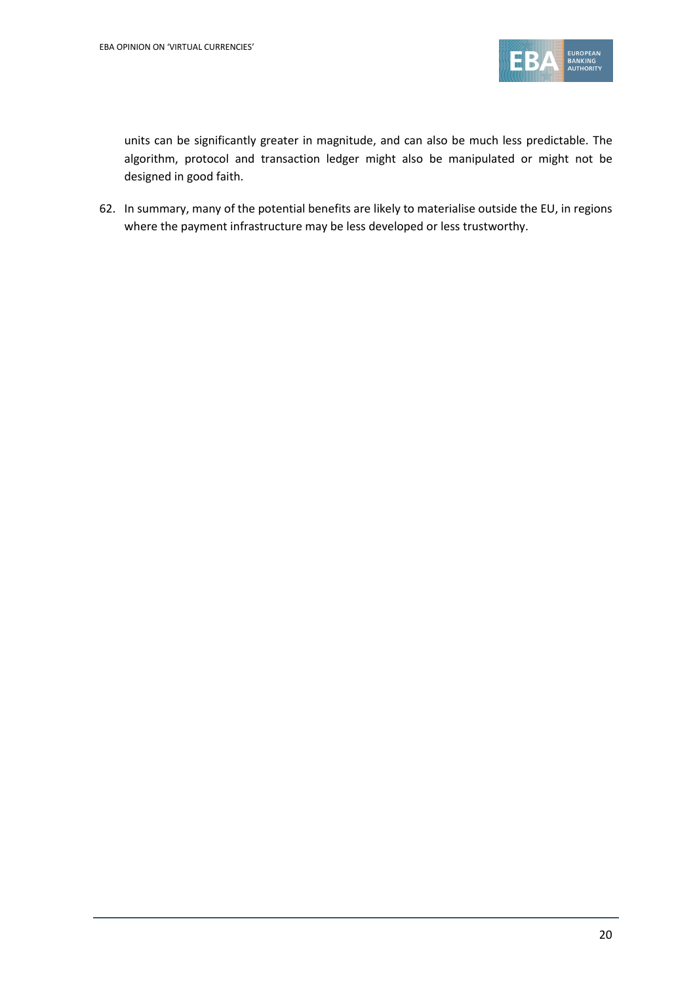

units can be significantly greater in magnitude, and can also be much less predictable. The algorithm, protocol and transaction ledger might also be manipulated or might not be designed in good faith.

62. In summary, many of the potential benefits are likely to materialise outside the EU, in regions where the payment infrastructure may be less developed or less trustworthy.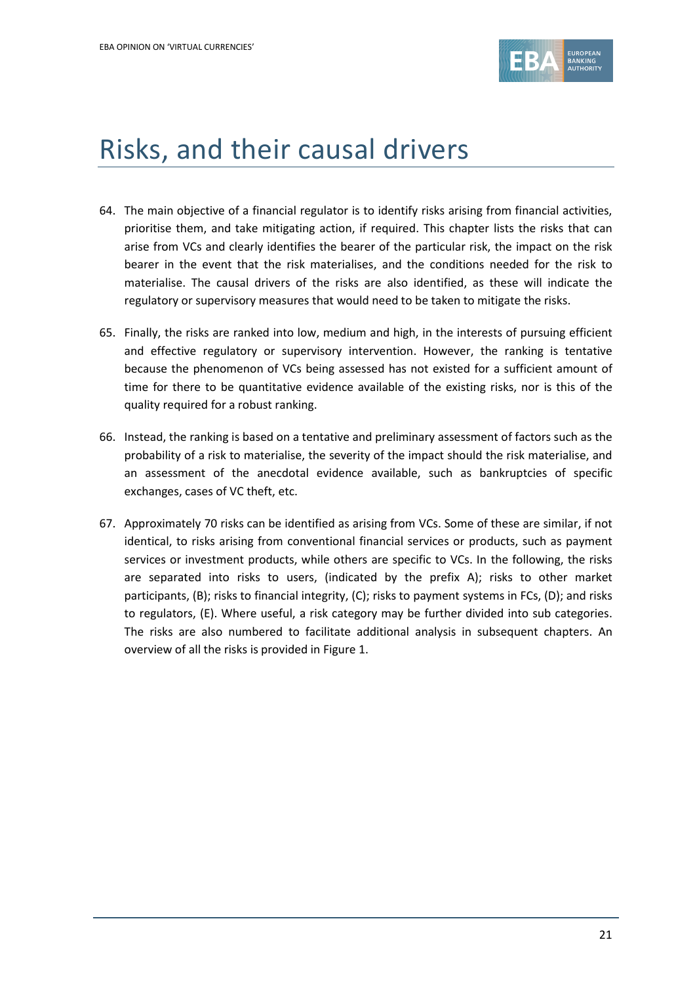

# Risks, and their causal drivers

- 64. The main objective of a financial regulator is to identify risks arising from financial activities, prioritise them, and take mitigating action, if required. This chapter lists the risks that can arise from VCs and clearly identifies the bearer of the particular risk, the impact on the risk bearer in the event that the risk materialises, and the conditions needed for the risk to materialise. The causal drivers of the risks are also identified, as these will indicate the regulatory or supervisory measures that would need to be taken to mitigate the risks.
- 65. Finally, the risks are ranked into low, medium and high, in the interests of pursuing efficient and effective regulatory or supervisory intervention. However, the ranking is tentative because the phenomenon of VCs being assessed has not existed for a sufficient amount of time for there to be quantitative evidence available of the existing risks, nor is this of the quality required for a robust ranking.
- 66. Instead, the ranking is based on a tentative and preliminary assessment of factors such as the probability of a risk to materialise, the severity of the impact should the risk materialise, and an assessment of the anecdotal evidence available, such as bankruptcies of specific exchanges, cases of VC theft, etc.
- 67. Approximately 70 risks can be identified as arising from VCs. Some of these are similar, if not identical, to risks arising from conventional financial services or products, such as payment services or investment products, while others are specific to VCs. In the following, the risks are separated into risks to users, (indicated by the prefix A); risks to other market participants, (B); risks to financial integrity, (C); risks to payment systems in FCs, (D); and risks to regulators, (E). Where useful, a risk category may be further divided into sub categories. The risks are also numbered to facilitate additional analysis in subsequent chapters. An overview of all the risks is provided in Figure 1.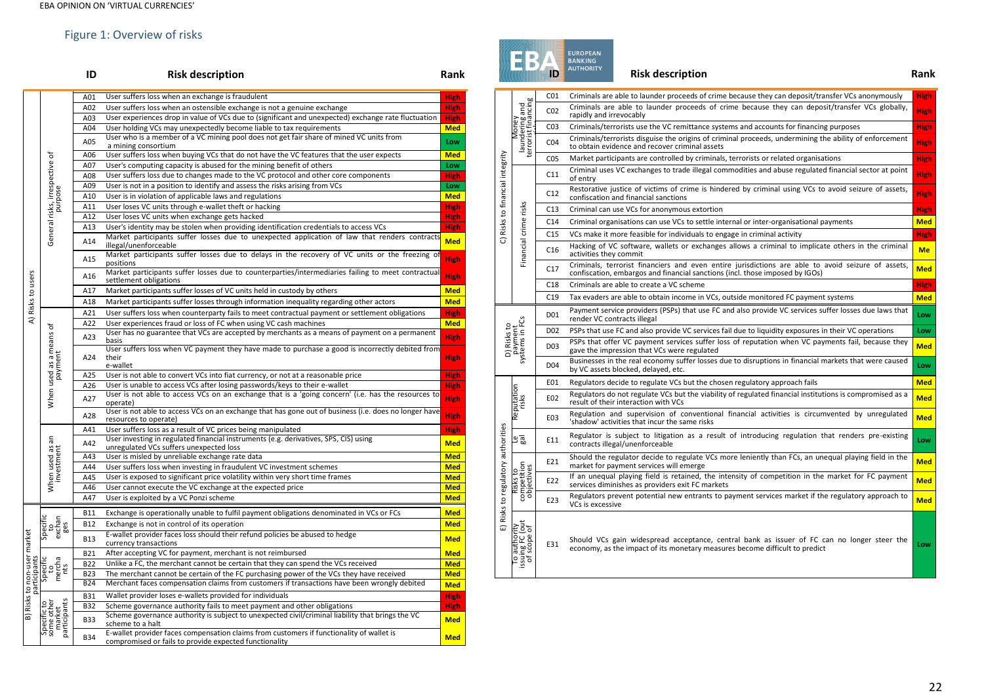## Figure 1: Overview of risks

|                             |                                                     | ID         | <b>Risk description</b>                                                                                                                            | Rank        |
|-----------------------------|-----------------------------------------------------|------------|----------------------------------------------------------------------------------------------------------------------------------------------------|-------------|
|                             |                                                     | A01        | User suffers loss when an exchange is fraudulent                                                                                                   | <b>High</b> |
|                             |                                                     | A02        | User suffers loss when an ostensible exchange is not a genuine exchange                                                                            | <b>High</b> |
|                             |                                                     | A03        | User experiences drop in value of VCs due to (significant and unexpected) exchange rate fluctuation                                                | <b>High</b> |
|                             |                                                     | A04        | User holding VCs may unexpectedly become liable to tax requirements                                                                                | <b>Med</b>  |
|                             |                                                     | A05        | User who is a member of a VC mining pool does not get fair share of mined VC units from<br>a mining consortium                                     | Low         |
|                             |                                                     | A06        | User suffers loss when buying VCs that do not have the VC features that the user expects                                                           | <b>Med</b>  |
|                             |                                                     | A07        | User's computing capacity is abused for the mining benefit of others                                                                               | Low         |
|                             |                                                     | A08        | User suffers loss due to changes made to the VC protocol and other core components                                                                 | <b>High</b> |
|                             | General risks, irrespective of                      | A09        | User is not in a position to identify and assess the risks arising from VCs                                                                        | Low         |
|                             |                                                     | A10        | User is in violation of applicable laws and regulations                                                                                            | <b>Med</b>  |
|                             |                                                     | A11        | User loses VC units through e-wallet theft or hacking                                                                                              | <b>High</b> |
|                             |                                                     | A12        | User loses VC units when exchange gets hacked                                                                                                      | <b>High</b> |
|                             |                                                     | A13        | User's identity may be stolen when providing identification credentials to access VCs                                                              | <b>High</b> |
|                             |                                                     | A14        | Market participants suffer losses due to unexpected application of law that renders contracts<br>illegal/unenforceable                             | <b>Med</b>  |
|                             |                                                     | A15        | Market participants suffer losses due to delays in the recovery of VC units or the freezing of<br>positions                                        | <b>High</b> |
| Risks to users              |                                                     | A16        | Market participants suffer losses due to counterparties/intermediaries failing to meet contractual<br>settlement obligations                       | <b>High</b> |
|                             |                                                     | A17        | Market participants suffer losses of VC units held in custody by others                                                                            | <b>Med</b>  |
|                             |                                                     | A18        | Market participants suffer losses through information inequality regarding other actors                                                            | <b>Med</b>  |
|                             |                                                     | A21        | User suffers loss when counterparty fails to meet contractual payment or settlement obligations                                                    | <b>High</b> |
| ₹                           |                                                     | A22        | User experiences fraud or loss of FC when using VC cash machines                                                                                   | <b>Med</b>  |
|                             | When used as a means of                             | A23        | User has no guarantee that VCs are accepted by merchants as a means of payment on a permanent<br>basis                                             | <b>High</b> |
|                             |                                                     | A24        | User suffers loss when VC payment they have made to purchase a good is incorrectly debited from<br>their<br>e-wallet                               | <b>High</b> |
|                             |                                                     | A25        | User is not able to convert VCs into fiat currency, or not at a reasonable price                                                                   | <b>High</b> |
|                             |                                                     | A26        | User is unable to access VCs after losing passwords/keys to their e-wallet                                                                         | <b>High</b> |
|                             |                                                     | A27        | User is not able to access VCs on an exchange that is a 'going concern' (i.e. has the resources to<br>operate)                                     | High        |
|                             |                                                     | A28        | User is not able to access VCs on an exchange that has gone out of business (i.e. does no longer have<br>resources to operate)                     | <b>High</b> |
|                             |                                                     | A41        | User suffers loss as a result of VC prices being manipulated                                                                                       | <b>High</b> |
|                             | When used as an<br>investment                       | A42        | User investing in regulated financial instruments (e.g. derivatives, SPS, CIS) using<br>unregulated VCs suffers unexpected loss                    | <b>Med</b>  |
|                             |                                                     | A43        | User is misled by unreliable exchange rate data                                                                                                    | <b>Med</b>  |
|                             |                                                     | A44        | User suffers loss when investing in fraudulent VC investment schemes                                                                               | <b>Med</b>  |
|                             |                                                     | A45        | User is exposed to significant price volatility within very short time frames                                                                      | <b>Med</b>  |
|                             |                                                     | A46        | User cannot execute the VC exchange at the expected price                                                                                          | <b>Med</b>  |
|                             |                                                     | A47        | User is exploited by a VC Ponzi scheme                                                                                                             | <b>Med</b>  |
|                             |                                                     | <b>B11</b> | Exchange is operationally unable to fulfil payment obligations denominated in VCs or FCs                                                           | <b>Med</b>  |
|                             | Specific<br>exchan<br>ges                           | <b>B12</b> | Exchange is not in control of its operation                                                                                                        | <b>Med</b>  |
| B) Risks to non-user market |                                                     | <b>B13</b> | E-wallet provider faces loss should their refund policies be abused to hedge<br>currency transactions                                              | <b>Med</b>  |
|                             |                                                     | <b>B21</b> | After accepting VC for payment, merchant is not reimbursed                                                                                         | <b>Med</b>  |
|                             |                                                     | <b>B22</b> | Unlike a FC, the merchant cannot be certain that they can spend the VCs received                                                                   | <b>Med</b>  |
|                             | Specific<br>mercha<br>nts                           | <b>B23</b> | The merchant cannot be certain of the FC purchasing power of the VCs they have received                                                            | <b>Med</b>  |
| participants                |                                                     | <b>B24</b> | Merchant faces compensation claims from customers if transactions have been wrongly debited                                                        | <b>Med</b>  |
|                             |                                                     | <b>B31</b> | Wallet provider loses e-wallets provided for individuals                                                                                           | <b>High</b> |
|                             |                                                     | <b>B32</b> | Scheme governance authority fails to meet payment and other obligations                                                                            | <b>High</b> |
|                             | participants<br>Specific to<br>some other<br>market | <b>B33</b> | Scheme governance authority is subject to unexpected civil/criminal liability that brings the VC<br>scheme to a halt                               | <b>Med</b>  |
|                             |                                                     | <b>B34</b> | E-wallet provider faces compensation claims from customers if functionality of wallet is<br>compromised or fails to provide expected functionality | <b>Med</b>  |



| C) Risks to financial integrity                  | laundering and<br>terrorist financing                                                                                                                                                                                                 | CO <sub>1</sub>  | Criminals are able to launder proceeds of crime because they can deposit/transfer VCs anonymously                                                                                  | <b>High</b> |
|--------------------------------------------------|---------------------------------------------------------------------------------------------------------------------------------------------------------------------------------------------------------------------------------------|------------------|------------------------------------------------------------------------------------------------------------------------------------------------------------------------------------|-------------|
|                                                  |                                                                                                                                                                                                                                       | CO <sub>2</sub>  | Criminals are able to launder proceeds of crime because they can deposit/transfer VCs globally,<br>rapidly and irrevocably                                                         | <b>High</b> |
|                                                  | Money                                                                                                                                                                                                                                 | CO <sub>3</sub>  | Criminals/terrorists use the VC remittance systems and accounts for financing purposes                                                                                             | <b>High</b> |
|                                                  |                                                                                                                                                                                                                                       | CO <sub>4</sub>  | Criminals/terrorists disguise the origins of criminal proceeds, undermining the ability of enforcement<br>to obtain evidence and recover criminal assets                           | <b>High</b> |
|                                                  |                                                                                                                                                                                                                                       | CO <sub>5</sub>  | Market participants are controlled by criminals, terrorists or related organisations                                                                                               | <b>High</b> |
|                                                  |                                                                                                                                                                                                                                       | C11              | Criminal uses VC exchanges to trade illegal commodities and abuse regulated financial sector at point<br>of entry                                                                  | <b>High</b> |
|                                                  |                                                                                                                                                                                                                                       | C12              | Restorative justice of victims of crime is hindered by criminal using VCs to avoid seizure of assets,<br>confiscation and financial sanctions                                      | <b>High</b> |
|                                                  |                                                                                                                                                                                                                                       | C13              | Criminal can use VCs for anonymous extortion                                                                                                                                       | <b>High</b> |
|                                                  |                                                                                                                                                                                                                                       | C <sub>14</sub>  | Criminal organisations can use VCs to settle internal or inter-organisational payments                                                                                             | <b>Med</b>  |
|                                                  |                                                                                                                                                                                                                                       | C <sub>15</sub>  | VCs make it more feasible for individuals to engage in criminal activity                                                                                                           | <b>High</b> |
|                                                  | Financial crime risks                                                                                                                                                                                                                 | C16              | Hacking of VC software, wallets or exchanges allows a criminal to implicate others in the criminal<br>activities they commit                                                       | <b>Me</b>   |
|                                                  |                                                                                                                                                                                                                                       | C17              | Criminals, terrorist financiers and even entire jurisdictions are able to avoid seizure of assets,<br>confiscation, embargos and financial sanctions (incl. those imposed by IGOs) | <b>Med</b>  |
|                                                  |                                                                                                                                                                                                                                       | C18              | Criminals are able to create a VC scheme                                                                                                                                           | <b>High</b> |
|                                                  |                                                                                                                                                                                                                                       | C19              | Tax evaders are able to obtain income in VCs, outside monitored FC payment systems                                                                                                 | <b>Med</b>  |
| D) Risks to<br>payment<br>systems in FCs         |                                                                                                                                                                                                                                       | D01              | Payment service providers (PSPs) that use FC and also provide VC services suffer losses due laws that<br>render VC contracts illegal                                               | Low         |
|                                                  |                                                                                                                                                                                                                                       | D <sub>0</sub> 2 | PSPs that use FC and also provide VC services fail due to liquidity exposures in their VC operations                                                                               | Low         |
|                                                  |                                                                                                                                                                                                                                       | D <sub>03</sub>  | PSPs that offer VC payment services suffer loss of reputation when VC payments fail, because they<br>gave the impression that VCs were regulated                                   | <b>Med</b>  |
|                                                  |                                                                                                                                                                                                                                       | D <sub>04</sub>  | Businesses in the real economy suffer losses due to disruptions in financial markets that were caused<br>by VC assets blocked, delayed, etc.                                       | Low         |
|                                                  |                                                                                                                                                                                                                                       | E01              | Regulators decide to regulate VCs but the chosen regulatory approach fails                                                                                                         | <b>Med</b>  |
|                                                  | Reputation<br>risks                                                                                                                                                                                                                   | E02              | Regulators do not regulate VCs but the viability of regulated financial institutions is compromised as a<br>result of their interaction with VCs                                   | <b>Med</b>  |
|                                                  |                                                                                                                                                                                                                                       | E03              | Regulation and supervision of conventional financial activities is circumvented by unregulated<br>'shadow' activities that incur the same risks                                    | <b>Med</b>  |
|                                                  | 명의                                                                                                                                                                                                                                    | E11              | Regulator is subject to litigation as a result of introducing regulation that renders pre-existing<br>contracts illegal/unenforceable                                              |             |
|                                                  |                                                                                                                                                                                                                                       | E21              | Should the regulator decide to regulate VCs more leniently than FCs, an unequal playing field in the<br>market for payment services will emerge                                    | <b>Med</b>  |
| Risks to regulatory authorities<br>$\widehat{w}$ | Risks to<br>competition<br>objectives                                                                                                                                                                                                 | E22              | If an unequal playing field is retained, the intensity of competition in the market for FC payment<br>services diminishes as providers exit FC markets                             | <b>Med</b>  |
|                                                  |                                                                                                                                                                                                                                       | E23              | Regulators prevent potential new entrants to payment services market if the regulatory approach to<br>VCs is excessive                                                             | <b>Med</b>  |
|                                                  | o adoss p<br>issuing FC (out<br>issuing FC (out)<br>Should VCs gain widespread acceptance, central bank as issuer of FC can no longer steer the<br>E31<br>economy, as the impact of its monetary measures become difficult to predict |                  | Low                                                                                                                                                                                |             |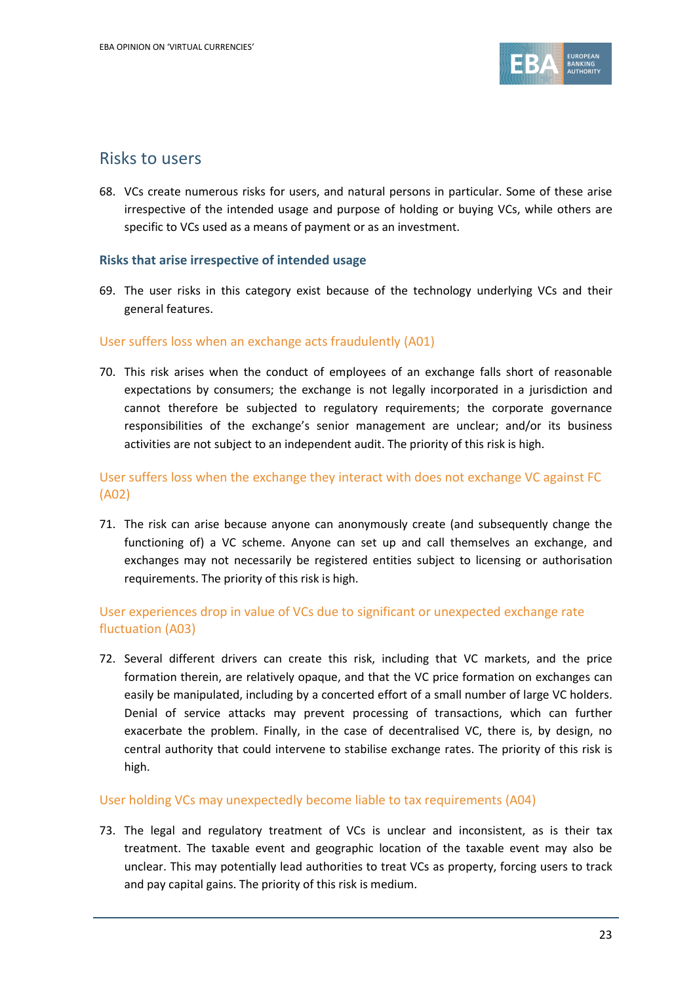

## Risks to users

68. VCs create numerous risks for users, and natural persons in particular. Some of these arise irrespective of the intended usage and purpose of holding or buying VCs, while others are specific to VCs used as a means of payment or as an investment.

#### **Risks that arise irrespective of intended usage**

69. The user risks in this category exist because of the technology underlying VCs and their general features.

#### User suffers loss when an exchange acts fraudulently (A01)

70. This risk arises when the conduct of employees of an exchange falls short of reasonable expectations by consumers; the exchange is not legally incorporated in a jurisdiction and cannot therefore be subjected to regulatory requirements; the corporate governance responsibilities of the exchange's senior management are unclear; and/or its business activities are not subject to an independent audit. The priority of this risk is high.

## User suffers loss when the exchange they interact with does not exchange VC against FC (A02)

71. The risk can arise because anyone can anonymously create (and subsequently change the functioning of) a VC scheme. Anyone can set up and call themselves an exchange, and exchanges may not necessarily be registered entities subject to licensing or authorisation requirements. The priority of this risk is high.

## User experiences drop in value of VCs due to significant or unexpected exchange rate fluctuation (A03)

72. Several different drivers can create this risk, including that VC markets, and the price formation therein, are relatively opaque, and that the VC price formation on exchanges can easily be manipulated, including by a concerted effort of a small number of large VC holders. Denial of service attacks may prevent processing of transactions, which can further exacerbate the problem. Finally, in the case of decentralised VC, there is, by design, no central authority that could intervene to stabilise exchange rates. The priority of this risk is high.

#### User holding VCs may unexpectedly become liable to tax requirements (A04)

73. The legal and regulatory treatment of VCs is unclear and inconsistent, as is their tax treatment. The taxable event and geographic location of the taxable event may also be unclear. This may potentially lead authorities to treat VCs as property, forcing users to track and pay capital gains. The priority of this risk is medium.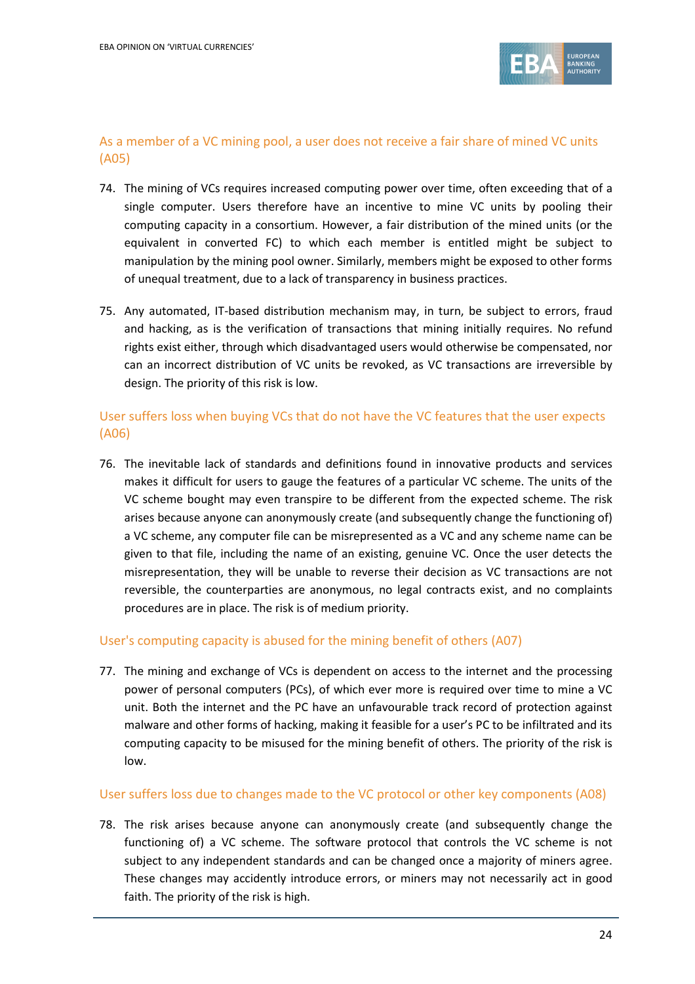

## As a member of a VC mining pool, a user does not receive a fair share of mined VC units (A05)

- 74. The mining of VCs requires increased computing power over time, often exceeding that of a single computer. Users therefore have an incentive to mine VC units by pooling their computing capacity in a consortium. However, a fair distribution of the mined units (or the equivalent in converted FC) to which each member is entitled might be subject to manipulation by the mining pool owner. Similarly, members might be exposed to other forms of unequal treatment, due to a lack of transparency in business practices.
- 75. Any automated, IT-based distribution mechanism may, in turn, be subject to errors, fraud and hacking, as is the verification of transactions that mining initially requires. No refund rights exist either, through which disadvantaged users would otherwise be compensated, nor can an incorrect distribution of VC units be revoked, as VC transactions are irreversible by design. The priority of this risk is low.

## User suffers loss when buying VCs that do not have the VC features that the user expects (A06)

76. The inevitable lack of standards and definitions found in innovative products and services makes it difficult for users to gauge the features of a particular VC scheme. The units of the VC scheme bought may even transpire to be different from the expected scheme. The risk arises because anyone can anonymously create (and subsequently change the functioning of) a VC scheme, any computer file can be misrepresented as a VC and any scheme name can be given to that file, including the name of an existing, genuine VC. Once the user detects the misrepresentation, they will be unable to reverse their decision as VC transactions are not reversible, the counterparties are anonymous, no legal contracts exist, and no complaints procedures are in place. The risk is of medium priority.

#### User's computing capacity is abused for the mining benefit of others (A07)

77. The mining and exchange of VCs is dependent on access to the internet and the processing power of personal computers (PCs), of which ever more is required over time to mine a VC unit. Both the internet and the PC have an unfavourable track record of protection against malware and other forms of hacking, making it feasible for a user's PC to be infiltrated and its computing capacity to be misused for the mining benefit of others. The priority of the risk is low.

#### User suffers loss due to changes made to the VC protocol or other key components (A08)

78. The risk arises because anyone can anonymously create (and subsequently change the functioning of) a VC scheme. The software protocol that controls the VC scheme is not subject to any independent standards and can be changed once a majority of miners agree. These changes may accidently introduce errors, or miners may not necessarily act in good faith. The priority of the risk is high.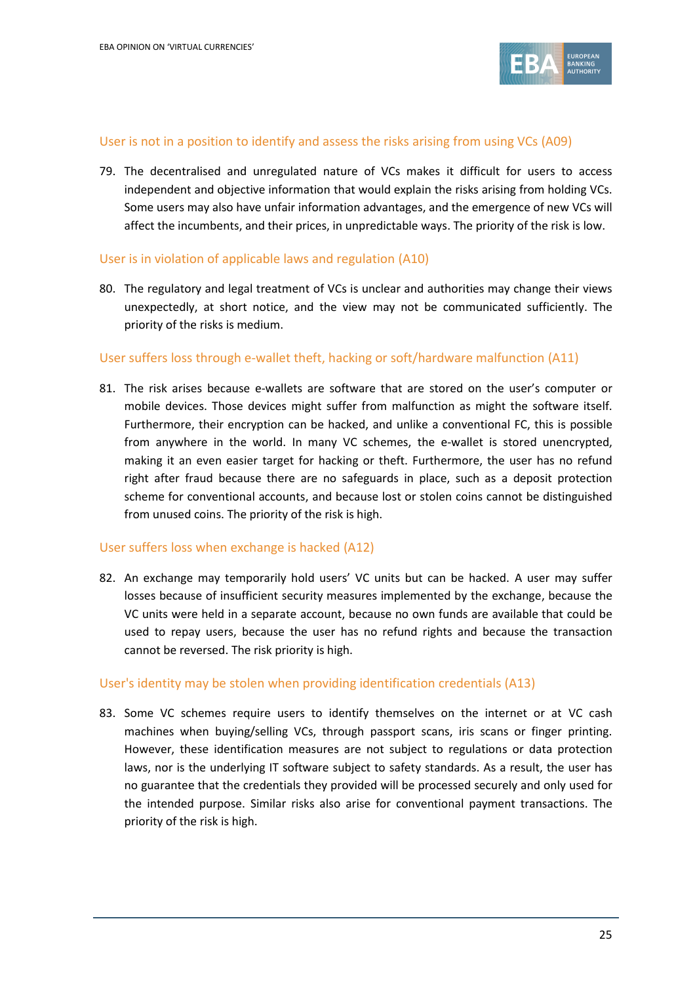

#### User is not in a position to identify and assess the risks arising from using VCs (A09)

79. The decentralised and unregulated nature of VCs makes it difficult for users to access independent and objective information that would explain the risks arising from holding VCs. Some users may also have unfair information advantages, and the emergence of new VCs will affect the incumbents, and their prices, in unpredictable ways. The priority of the risk is low.

#### User is in violation of applicable laws and regulation (A10)

80. The regulatory and legal treatment of VCs is unclear and authorities may change their views unexpectedly, at short notice, and the view may not be communicated sufficiently. The priority of the risks is medium.

#### User suffers loss through e-wallet theft, hacking or soft/hardware malfunction (A11)

81. The risk arises because e-wallets are software that are stored on the user's computer or mobile devices. Those devices might suffer from malfunction as might the software itself. Furthermore, their encryption can be hacked, and unlike a conventional FC, this is possible from anywhere in the world. In many VC schemes, the e-wallet is stored unencrypted, making it an even easier target for hacking or theft. Furthermore, the user has no refund right after fraud because there are no safeguards in place, such as a deposit protection scheme for conventional accounts, and because lost or stolen coins cannot be distinguished from unused coins. The priority of the risk is high.

#### User suffers loss when exchange is hacked (A12)

82. An exchange may temporarily hold users' VC units but can be hacked. A user may suffer losses because of insufficient security measures implemented by the exchange, because the VC units were held in a separate account, because no own funds are available that could be used to repay users, because the user has no refund rights and because the transaction cannot be reversed. The risk priority is high.

#### User's identity may be stolen when providing identification credentials (A13)

83. Some VC schemes require users to identify themselves on the internet or at VC cash machines when buying/selling VCs, through passport scans, iris scans or finger printing. However, these identification measures are not subject to regulations or data protection laws, nor is the underlying IT software subject to safety standards. As a result, the user has no guarantee that the credentials they provided will be processed securely and only used for the intended purpose. Similar risks also arise for conventional payment transactions. The priority of the risk is high.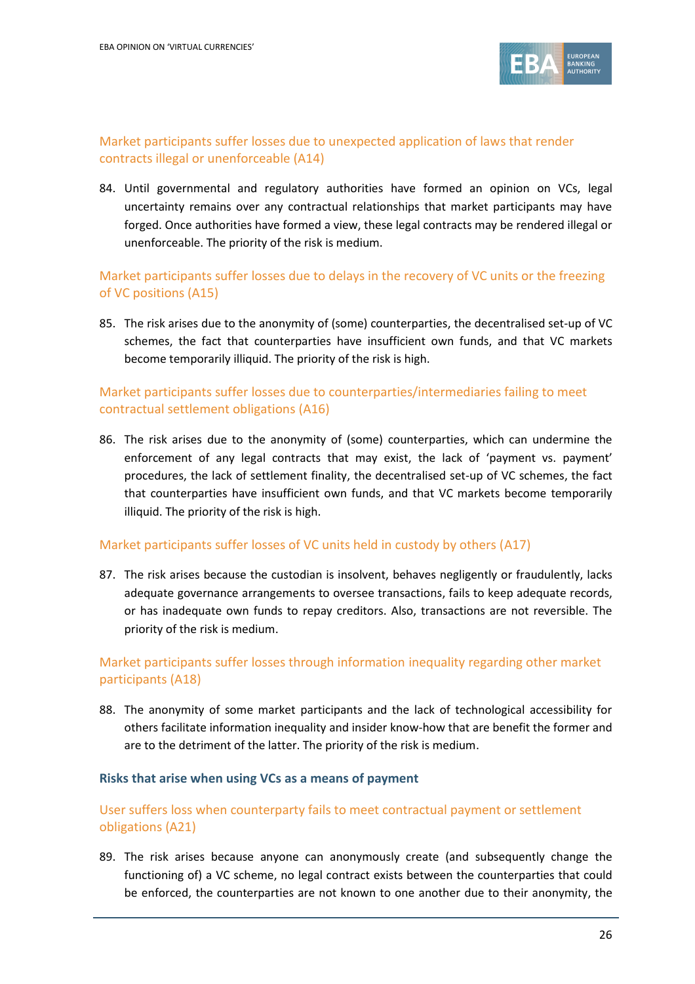

## Market participants suffer losses due to unexpected application of laws that render contracts illegal or unenforceable (A14)

84. Until governmental and regulatory authorities have formed an opinion on VCs, legal uncertainty remains over any contractual relationships that market participants may have forged. Once authorities have formed a view, these legal contracts may be rendered illegal or unenforceable. The priority of the risk is medium.

## Market participants suffer losses due to delays in the recovery of VC units or the freezing of VC positions (A15)

85. The risk arises due to the anonymity of (some) counterparties, the decentralised set-up of VC schemes, the fact that counterparties have insufficient own funds, and that VC markets become temporarily illiquid. The priority of the risk is high.

## Market participants suffer losses due to counterparties/intermediaries failing to meet contractual settlement obligations (A16)

86. The risk arises due to the anonymity of (some) counterparties, which can undermine the enforcement of any legal contracts that may exist, the lack of 'payment vs. payment' procedures, the lack of settlement finality, the decentralised set-up of VC schemes, the fact that counterparties have insufficient own funds, and that VC markets become temporarily illiquid. The priority of the risk is high.

#### Market participants suffer losses of VC units held in custody by others (A17)

87. The risk arises because the custodian is insolvent, behaves negligently or fraudulently, lacks adequate governance arrangements to oversee transactions, fails to keep adequate records, or has inadequate own funds to repay creditors. Also, transactions are not reversible. The priority of the risk is medium.

## Market participants suffer losses through information inequality regarding other market participants (A18)

88. The anonymity of some market participants and the lack of technological accessibility for others facilitate information inequality and insider know-how that are benefit the former and are to the detriment of the latter. The priority of the risk is medium.

#### **Risks that arise when using VCs as a means of payment**

## User suffers loss when counterparty fails to meet contractual payment or settlement obligations (A21)

89. The risk arises because anyone can anonymously create (and subsequently change the functioning of) a VC scheme, no legal contract exists between the counterparties that could be enforced, the counterparties are not known to one another due to their anonymity, the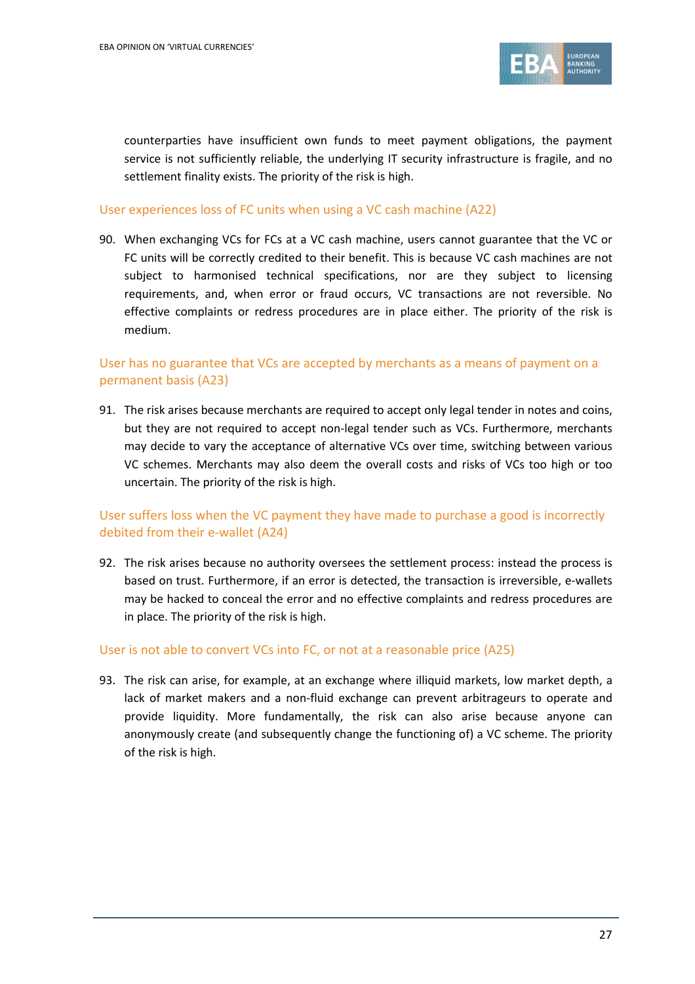

counterparties have insufficient own funds to meet payment obligations, the payment service is not sufficiently reliable, the underlying IT security infrastructure is fragile, and no settlement finality exists. The priority of the risk is high.

#### User experiences loss of FC units when using a VC cash machine (A22)

90. When exchanging VCs for FCs at a VC cash machine, users cannot guarantee that the VC or FC units will be correctly credited to their benefit. This is because VC cash machines are not subject to harmonised technical specifications, nor are they subject to licensing requirements, and, when error or fraud occurs, VC transactions are not reversible. No effective complaints or redress procedures are in place either. The priority of the risk is medium.

## User has no guarantee that VCs are accepted by merchants as a means of payment on a permanent basis (A23)

91. The risk arises because merchants are required to accept only legal tender in notes and coins, but they are not required to accept non-legal tender such as VCs. Furthermore, merchants may decide to vary the acceptance of alternative VCs over time, switching between various VC schemes. Merchants may also deem the overall costs and risks of VCs too high or too uncertain. The priority of the risk is high.

## User suffers loss when the VC payment they have made to purchase a good is incorrectly debited from their e-wallet (A24)

92. The risk arises because no authority oversees the settlement process: instead the process is based on trust. Furthermore, if an error is detected, the transaction is irreversible, e-wallets may be hacked to conceal the error and no effective complaints and redress procedures are in place. The priority of the risk is high.

#### User is not able to convert VCs into FC, or not at a reasonable price (A25)

93. The risk can arise, for example, at an exchange where illiquid markets, low market depth, a lack of market makers and a non-fluid exchange can prevent arbitrageurs to operate and provide liquidity. More fundamentally, the risk can also arise because anyone can anonymously create (and subsequently change the functioning of) a VC scheme. The priority of the risk is high.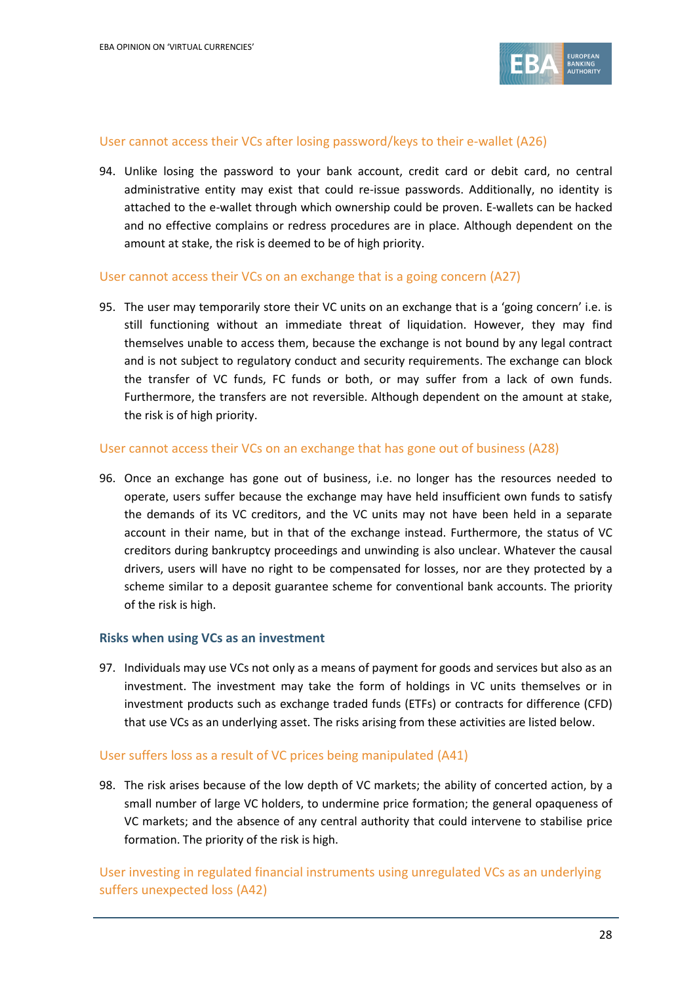

#### User cannot access their VCs after losing password/keys to their e-wallet (A26)

94. Unlike losing the password to your bank account, credit card or debit card, no central administrative entity may exist that could re-issue passwords. Additionally, no identity is attached to the e-wallet through which ownership could be proven. E-wallets can be hacked and no effective complains or redress procedures are in place. Although dependent on the amount at stake, the risk is deemed to be of high priority.

#### User cannot access their VCs on an exchange that is a going concern (A27)

95. The user may temporarily store their VC units on an exchange that is a 'going concern' i.e. is still functioning without an immediate threat of liquidation. However, they may find themselves unable to access them, because the exchange is not bound by any legal contract and is not subject to regulatory conduct and security requirements. The exchange can block the transfer of VC funds, FC funds or both, or may suffer from a lack of own funds. Furthermore, the transfers are not reversible. Although dependent on the amount at stake, the risk is of high priority.

#### User cannot access their VCs on an exchange that has gone out of business (A28)

96. Once an exchange has gone out of business, i.e. no longer has the resources needed to operate, users suffer because the exchange may have held insufficient own funds to satisfy the demands of its VC creditors, and the VC units may not have been held in a separate account in their name, but in that of the exchange instead. Furthermore, the status of VC creditors during bankruptcy proceedings and unwinding is also unclear. Whatever the causal drivers, users will have no right to be compensated for losses, nor are they protected by a scheme similar to a deposit guarantee scheme for conventional bank accounts. The priority of the risk is high.

#### **Risks when using VCs as an investment**

97. Individuals may use VCs not only as a means of payment for goods and services but also as an investment. The investment may take the form of holdings in VC units themselves or in investment products such as exchange traded funds (ETFs) or contracts for difference (CFD) that use VCs as an underlying asset. The risks arising from these activities are listed below.

#### User suffers loss as a result of VC prices being manipulated (A41)

98. The risk arises because of the low depth of VC markets; the ability of concerted action, by a small number of large VC holders, to undermine price formation; the general opaqueness of VC markets; and the absence of any central authority that could intervene to stabilise price formation. The priority of the risk is high.

User investing in regulated financial instruments using unregulated VCs as an underlying suffers unexpected loss (A42)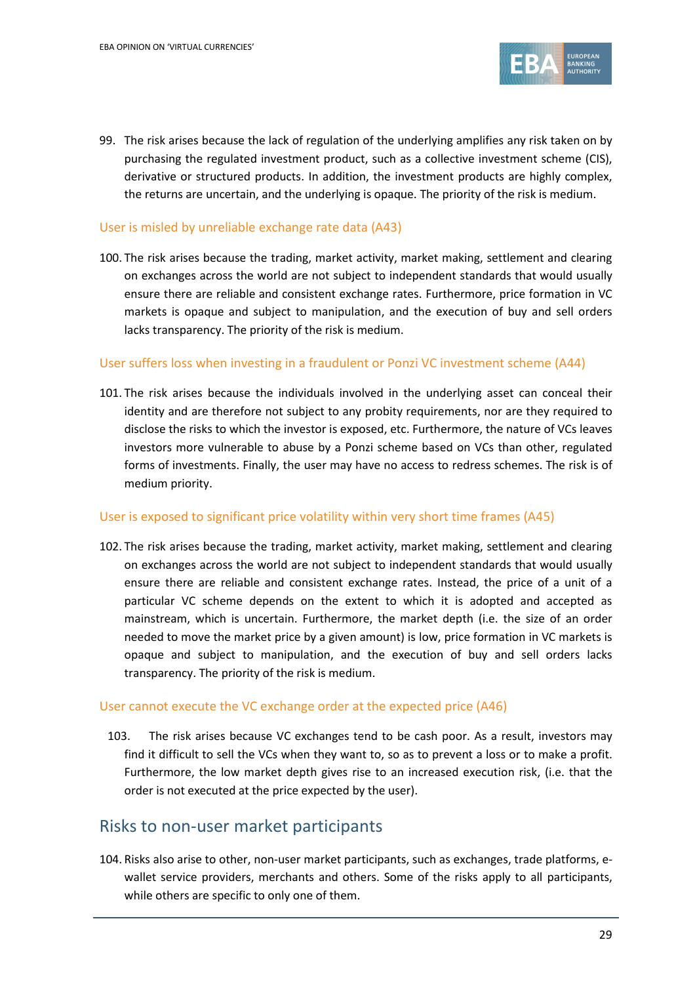

99. The risk arises because the lack of regulation of the underlying amplifies any risk taken on by purchasing the regulated investment product, such as a collective investment scheme (CIS), derivative or structured products. In addition, the investment products are highly complex, the returns are uncertain, and the underlying is opaque. The priority of the risk is medium.

#### User is misled by unreliable exchange rate data (A43)

100. The risk arises because the trading, market activity, market making, settlement and clearing on exchanges across the world are not subject to independent standards that would usually ensure there are reliable and consistent exchange rates. Furthermore, price formation in VC markets is opaque and subject to manipulation, and the execution of buy and sell orders lacks transparency. The priority of the risk is medium.

### User suffers loss when investing in a fraudulent or Ponzi VC investment scheme (A44)

101. The risk arises because the individuals involved in the underlying asset can conceal their identity and are therefore not subject to any probity requirements, nor are they required to disclose the risks to which the investor is exposed, etc. Furthermore, the nature of VCs leaves investors more vulnerable to abuse by a Ponzi scheme based on VCs than other, regulated forms of investments. Finally, the user may have no access to redress schemes. The risk is of medium priority.

#### User is exposed to significant price volatility within very short time frames (A45)

102. The risk arises because the trading, market activity, market making, settlement and clearing on exchanges across the world are not subject to independent standards that would usually ensure there are reliable and consistent exchange rates. Instead, the price of a unit of a particular VC scheme depends on the extent to which it is adopted and accepted as mainstream, which is uncertain. Furthermore, the market depth (i.e. the size of an order needed to move the market price by a given amount) is low, price formation in VC markets is opaque and subject to manipulation, and the execution of buy and sell orders lacks transparency. The priority of the risk is medium.

#### User cannot execute the VC exchange order at the expected price (A46)

103. The risk arises because VC exchanges tend to be cash poor. As a result, investors may find it difficult to sell the VCs when they want to, so as to prevent a loss or to make a profit. Furthermore, the low market depth gives rise to an increased execution risk, (i.e. that the order is not executed at the price expected by the user).

## Risks to non-user market participants

104. Risks also arise to other, non-user market participants, such as exchanges, trade platforms, ewallet service providers, merchants and others. Some of the risks apply to all participants, while others are specific to only one of them.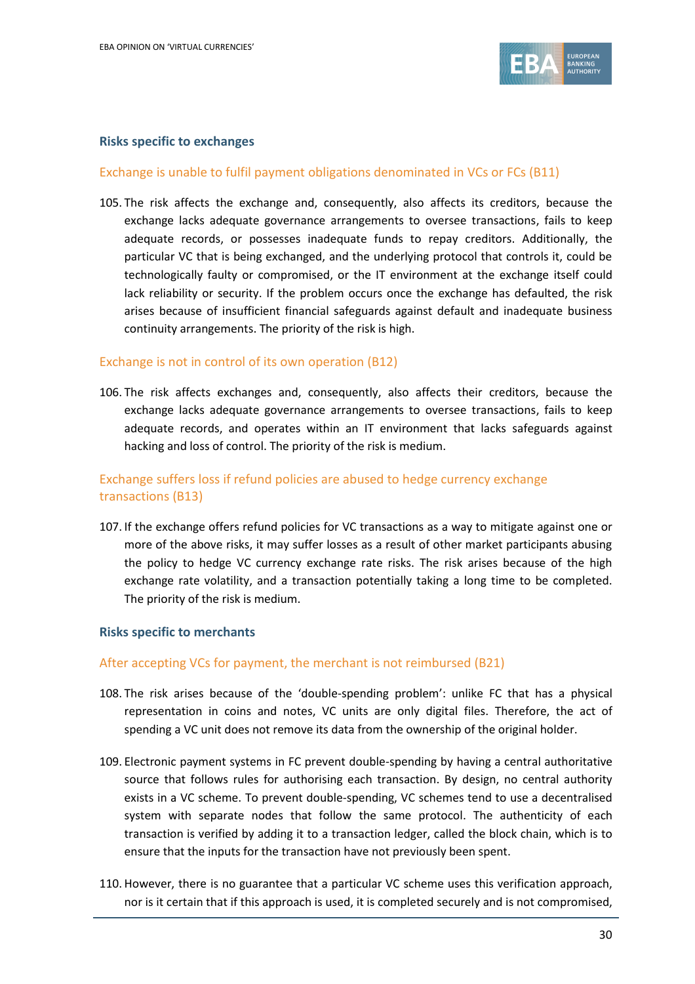

#### **Risks specific to exchanges**

#### Exchange is unable to fulfil payment obligations denominated in VCs or FCs (B11)

105. The risk affects the exchange and, consequently, also affects its creditors, because the exchange lacks adequate governance arrangements to oversee transactions, fails to keep adequate records, or possesses inadequate funds to repay creditors. Additionally, the particular VC that is being exchanged, and the underlying protocol that controls it, could be technologically faulty or compromised, or the IT environment at the exchange itself could lack reliability or security. If the problem occurs once the exchange has defaulted, the risk arises because of insufficient financial safeguards against default and inadequate business continuity arrangements. The priority of the risk is high.

### Exchange is not in control of its own operation (B12)

106. The risk affects exchanges and, consequently, also affects their creditors, because the exchange lacks adequate governance arrangements to oversee transactions, fails to keep adequate records, and operates within an IT environment that lacks safeguards against hacking and loss of control. The priority of the risk is medium.

## Exchange suffers loss if refund policies are abused to hedge currency exchange transactions (B13)

107. If the exchange offers refund policies for VC transactions as a way to mitigate against one or more of the above risks, it may suffer losses as a result of other market participants abusing the policy to hedge VC currency exchange rate risks. The risk arises because of the high exchange rate volatility, and a transaction potentially taking a long time to be completed. The priority of the risk is medium.

#### **Risks specific to merchants**

#### After accepting VCs for payment, the merchant is not reimbursed (B21)

- 108. The risk arises because of the 'double-spending problem': unlike FC that has a physical representation in coins and notes, VC units are only digital files. Therefore, the act of spending a VC unit does not remove its data from the ownership of the original holder.
- 109. Electronic payment systems in FC prevent double-spending by having a central authoritative source that follows rules for authorising each transaction. By design, no central authority exists in a VC scheme. To prevent double-spending, VC schemes tend to use a decentralised system with separate nodes that follow the same protocol. The authenticity of each transaction is verified by adding it to a transaction ledger, called the block chain, which is to ensure that the inputs for the transaction have not previously been spent.
- 110. However, there is no guarantee that a particular VC scheme uses this verification approach, nor is it certain that if this approach is used, it is completed securely and is not compromised,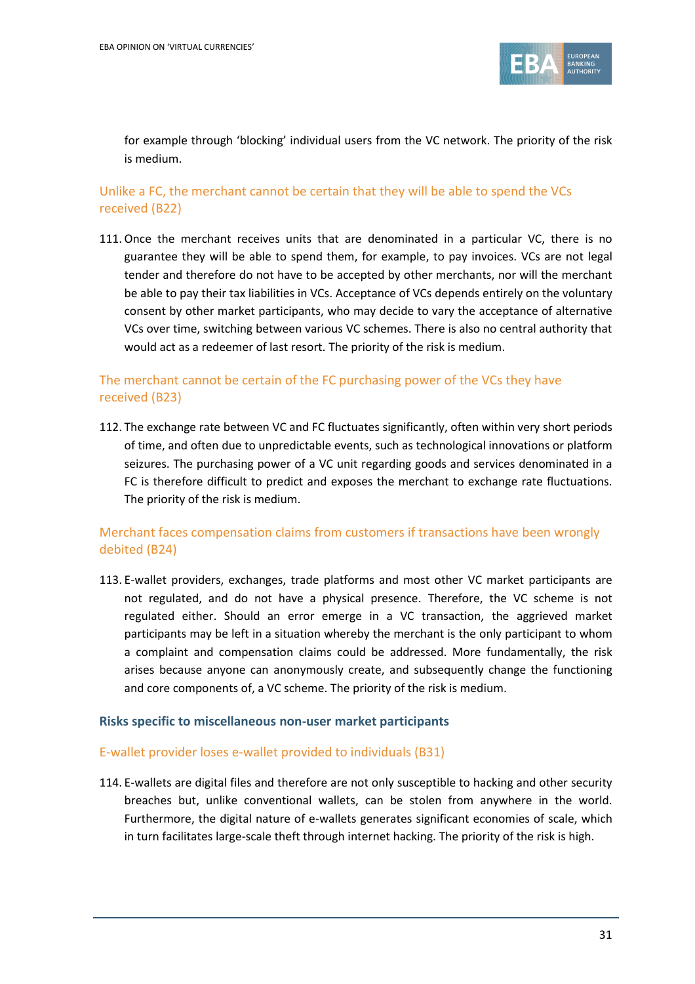

for example through 'blocking' individual users from the VC network. The priority of the risk is medium.

### Unlike a FC, the merchant cannot be certain that they will be able to spend the VCs received (B22)

111.Once the merchant receives units that are denominated in a particular VC, there is no guarantee they will be able to spend them, for example, to pay invoices. VCs are not legal tender and therefore do not have to be accepted by other merchants, nor will the merchant be able to pay their tax liabilities in VCs. Acceptance of VCs depends entirely on the voluntary consent by other market participants, who may decide to vary the acceptance of alternative VCs over time, switching between various VC schemes. There is also no central authority that would act as a redeemer of last resort. The priority of the risk is medium.

## The merchant cannot be certain of the FC purchasing power of the VCs they have received (B23)

112. The exchange rate between VC and FC fluctuates significantly, often within very short periods of time, and often due to unpredictable events, such as technological innovations or platform seizures. The purchasing power of a VC unit regarding goods and services denominated in a FC is therefore difficult to predict and exposes the merchant to exchange rate fluctuations. The priority of the risk is medium.

## Merchant faces compensation claims from customers if transactions have been wrongly debited (B24)

113. E-wallet providers, exchanges, trade platforms and most other VC market participants are not regulated, and do not have a physical presence. Therefore, the VC scheme is not regulated either. Should an error emerge in a VC transaction, the aggrieved market participants may be left in a situation whereby the merchant is the only participant to whom a complaint and compensation claims could be addressed. More fundamentally, the risk arises because anyone can anonymously create, and subsequently change the functioning and core components of, a VC scheme. The priority of the risk is medium.

#### **Risks specific to miscellaneous non-user market participants**

#### E-wallet provider loses e-wallet provided to individuals (B31)

114. E-wallets are digital files and therefore are not only susceptible to hacking and other security breaches but, unlike conventional wallets, can be stolen from anywhere in the world. Furthermore, the digital nature of e-wallets generates significant economies of scale, which in turn facilitates large-scale theft through internet hacking. The priority of the risk is high.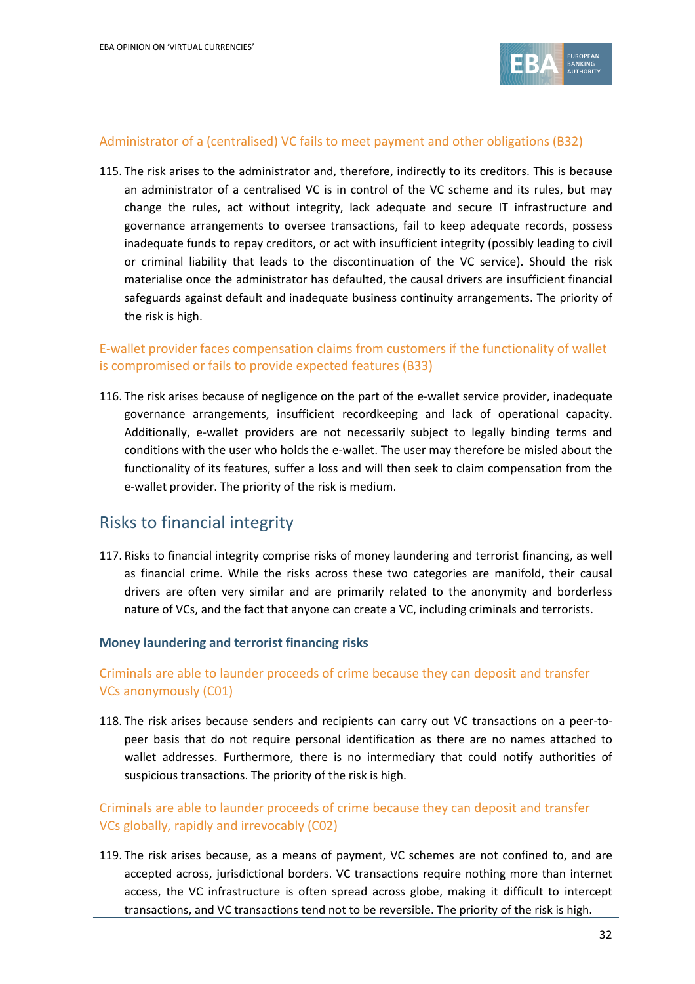

#### Administrator of a (centralised) VC fails to meet payment and other obligations (B32)

115. The risk arises to the administrator and, therefore, indirectly to its creditors. This is because an administrator of a centralised VC is in control of the VC scheme and its rules, but may change the rules, act without integrity, lack adequate and secure IT infrastructure and governance arrangements to oversee transactions, fail to keep adequate records, possess inadequate funds to repay creditors, or act with insufficient integrity (possibly leading to civil or criminal liability that leads to the discontinuation of the VC service). Should the risk materialise once the administrator has defaulted, the causal drivers are insufficient financial safeguards against default and inadequate business continuity arrangements. The priority of the risk is high.

## E-wallet provider faces compensation claims from customers if the functionality of wallet is compromised or fails to provide expected features (B33)

116. The risk arises because of negligence on the part of the e-wallet service provider, inadequate governance arrangements, insufficient recordkeeping and lack of operational capacity. Additionally, e-wallet providers are not necessarily subject to legally binding terms and conditions with the user who holds the e-wallet. The user may therefore be misled about the functionality of its features, suffer a loss and will then seek to claim compensation from the e-wallet provider. The priority of the risk is medium.

## Risks to financial integrity

117. Risks to financial integrity comprise risks of money laundering and terrorist financing, as well as financial crime. While the risks across these two categories are manifold, their causal drivers are often very similar and are primarily related to the anonymity and borderless nature of VCs, and the fact that anyone can create a VC, including criminals and terrorists.

#### **Money laundering and terrorist financing risks**

## Criminals are able to launder proceeds of crime because they can deposit and transfer VCs anonymously (C01)

118. The risk arises because senders and recipients can carry out VC transactions on a peer-topeer basis that do not require personal identification as there are no names attached to wallet addresses. Furthermore, there is no intermediary that could notify authorities of suspicious transactions. The priority of the risk is high.

## Criminals are able to launder proceeds of crime because they can deposit and transfer VCs globally, rapidly and irrevocably (C02)

119. The risk arises because, as a means of payment, VC schemes are not confined to, and are accepted across, jurisdictional borders. VC transactions require nothing more than internet access, the VC infrastructure is often spread across globe, making it difficult to intercept transactions, and VC transactions tend not to be reversible. The priority of the risk is high.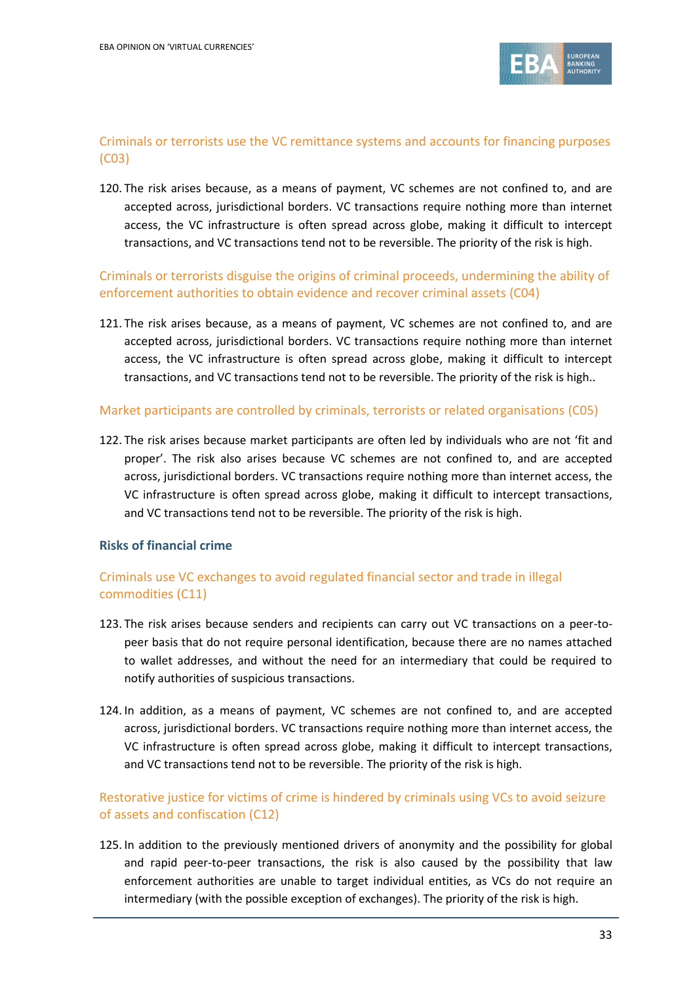

## Criminals or terrorists use the VC remittance systems and accounts for financing purposes (C03)

120. The risk arises because, as a means of payment, VC schemes are not confined to, and are accepted across, jurisdictional borders. VC transactions require nothing more than internet access, the VC infrastructure is often spread across globe, making it difficult to intercept transactions, and VC transactions tend not to be reversible. The priority of the risk is high.

## Criminals or terrorists disguise the origins of criminal proceeds, undermining the ability of enforcement authorities to obtain evidence and recover criminal assets (C04)

121. The risk arises because, as a means of payment, VC schemes are not confined to, and are accepted across, jurisdictional borders. VC transactions require nothing more than internet access, the VC infrastructure is often spread across globe, making it difficult to intercept transactions, and VC transactions tend not to be reversible. The priority of the risk is high..

#### Market participants are controlled by criminals, terrorists or related organisations (C05)

122. The risk arises because market participants are often led by individuals who are not 'fit and proper'. The risk also arises because VC schemes are not confined to, and are accepted across, jurisdictional borders. VC transactions require nothing more than internet access, the VC infrastructure is often spread across globe, making it difficult to intercept transactions, and VC transactions tend not to be reversible. The priority of the risk is high.

#### **Risks of financial crime**

## Criminals use VC exchanges to avoid regulated financial sector and trade in illegal commodities (C11)

- 123. The risk arises because senders and recipients can carry out VC transactions on a peer-topeer basis that do not require personal identification, because there are no names attached to wallet addresses, and without the need for an intermediary that could be required to notify authorities of suspicious transactions.
- 124. In addition, as a means of payment, VC schemes are not confined to, and are accepted across, jurisdictional borders. VC transactions require nothing more than internet access, the VC infrastructure is often spread across globe, making it difficult to intercept transactions, and VC transactions tend not to be reversible. The priority of the risk is high.

## Restorative justice for victims of crime is hindered by criminals using VCs to avoid seizure of assets and confiscation (C12)

125. In addition to the previously mentioned drivers of anonymity and the possibility for global and rapid peer-to-peer transactions, the risk is also caused by the possibility that law enforcement authorities are unable to target individual entities, as VCs do not require an intermediary (with the possible exception of exchanges). The priority of the risk is high.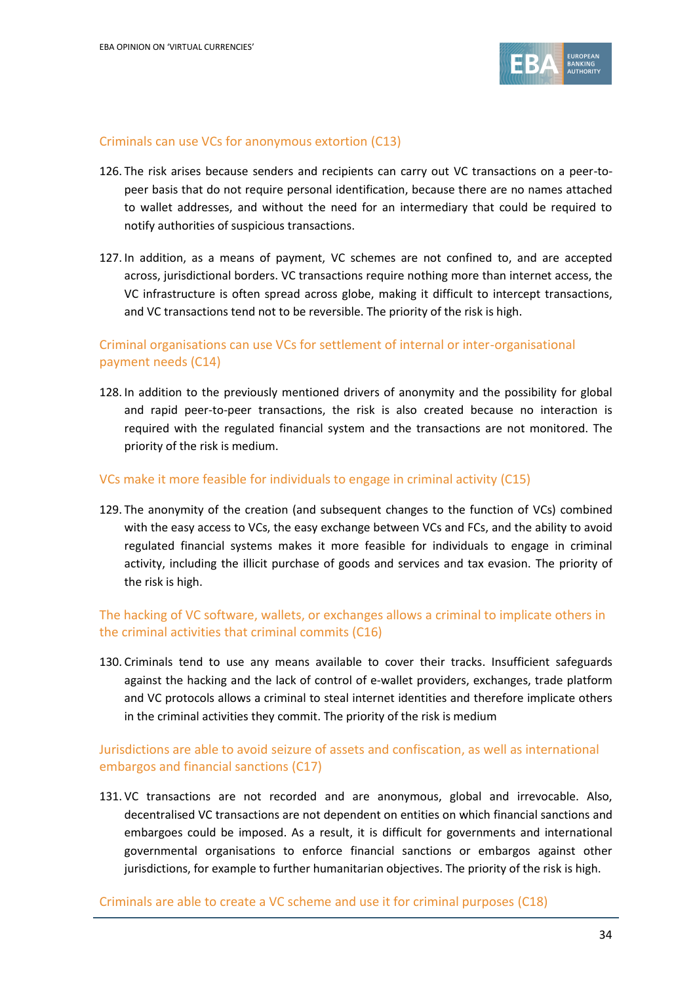

#### Criminals can use VCs for anonymous extortion (C13)

- 126. The risk arises because senders and recipients can carry out VC transactions on a peer-topeer basis that do not require personal identification, because there are no names attached to wallet addresses, and without the need for an intermediary that could be required to notify authorities of suspicious transactions.
- 127. In addition, as a means of payment, VC schemes are not confined to, and are accepted across, jurisdictional borders. VC transactions require nothing more than internet access, the VC infrastructure is often spread across globe, making it difficult to intercept transactions, and VC transactions tend not to be reversible. The priority of the risk is high.

## Criminal organisations can use VCs for settlement of internal or inter-organisational payment needs (C14)

128. In addition to the previously mentioned drivers of anonymity and the possibility for global and rapid peer-to-peer transactions, the risk is also created because no interaction is required with the regulated financial system and the transactions are not monitored. The priority of the risk is medium.

#### VCs make it more feasible for individuals to engage in criminal activity (C15)

129. The anonymity of the creation (and subsequent changes to the function of VCs) combined with the easy access to VCs, the easy exchange between VCs and FCs, and the ability to avoid regulated financial systems makes it more feasible for individuals to engage in criminal activity, including the illicit purchase of goods and services and tax evasion. The priority of the risk is high.

### The hacking of VC software, wallets, or exchanges allows a criminal to implicate others in the criminal activities that criminal commits (C16)

130. Criminals tend to use any means available to cover their tracks. Insufficient safeguards against the hacking and the lack of control of e-wallet providers, exchanges, trade platform and VC protocols allows a criminal to steal internet identities and therefore implicate others in the criminal activities they commit. The priority of the risk is medium

## Jurisdictions are able to avoid seizure of assets and confiscation, as well as international embargos and financial sanctions (C17)

131. VC transactions are not recorded and are anonymous, global and irrevocable. Also, decentralised VC transactions are not dependent on entities on which financial sanctions and embargoes could be imposed. As a result, it is difficult for governments and international governmental organisations to enforce financial sanctions or embargos against other jurisdictions, for example to further humanitarian objectives. The priority of the risk is high.

Criminals are able to create a VC scheme and use it for criminal purposes (C18)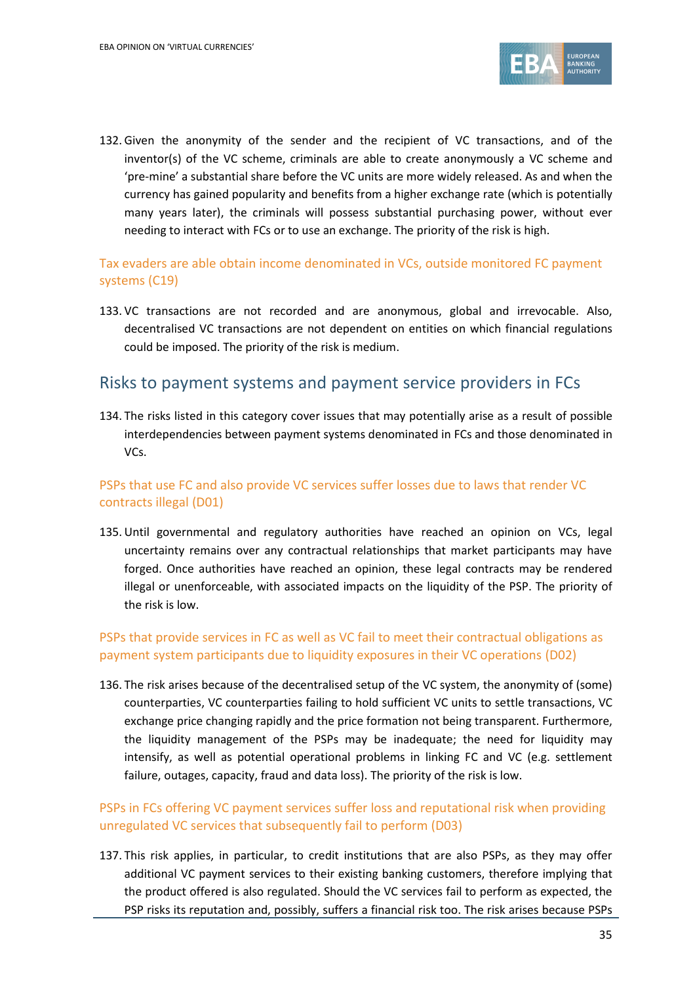

132. Given the anonymity of the sender and the recipient of VC transactions, and of the inventor(s) of the VC scheme, criminals are able to create anonymously a VC scheme and 'pre-mine' a substantial share before the VC units are more widely released. As and when the currency has gained popularity and benefits from a higher exchange rate (which is potentially many years later), the criminals will possess substantial purchasing power, without ever needing to interact with FCs or to use an exchange. The priority of the risk is high.

## Tax evaders are able obtain income denominated in VCs, outside monitored FC payment systems (C19)

133. VC transactions are not recorded and are anonymous, global and irrevocable. Also, decentralised VC transactions are not dependent on entities on which financial regulations could be imposed. The priority of the risk is medium.

## Risks to payment systems and payment service providers in FCs

134. The risks listed in this category cover issues that may potentially arise as a result of possible interdependencies between payment systems denominated in FCs and those denominated in VCs.

## PSPs that use FC and also provide VC services suffer losses due to laws that render VC contracts illegal (D01)

135. Until governmental and regulatory authorities have reached an opinion on VCs, legal uncertainty remains over any contractual relationships that market participants may have forged. Once authorities have reached an opinion, these legal contracts may be rendered illegal or unenforceable, with associated impacts on the liquidity of the PSP. The priority of the risk is low.

### PSPs that provide services in FC as well as VC fail to meet their contractual obligations as payment system participants due to liquidity exposures in their VC operations (D02)

136. The risk arises because of the decentralised setup of the VC system, the anonymity of (some) counterparties, VC counterparties failing to hold sufficient VC units to settle transactions, VC exchange price changing rapidly and the price formation not being transparent. Furthermore, the liquidity management of the PSPs may be inadequate; the need for liquidity may intensify, as well as potential operational problems in linking FC and VC (e.g. settlement failure, outages, capacity, fraud and data loss). The priority of the risk is low.

## PSPs in FCs offering VC payment services suffer loss and reputational risk when providing unregulated VC services that subsequently fail to perform (D03)

137. This risk applies, in particular, to credit institutions that are also PSPs, as they may offer additional VC payment services to their existing banking customers, therefore implying that the product offered is also regulated. Should the VC services fail to perform as expected, the PSP risks its reputation and, possibly, suffers a financial risk too. The risk arises because PSPs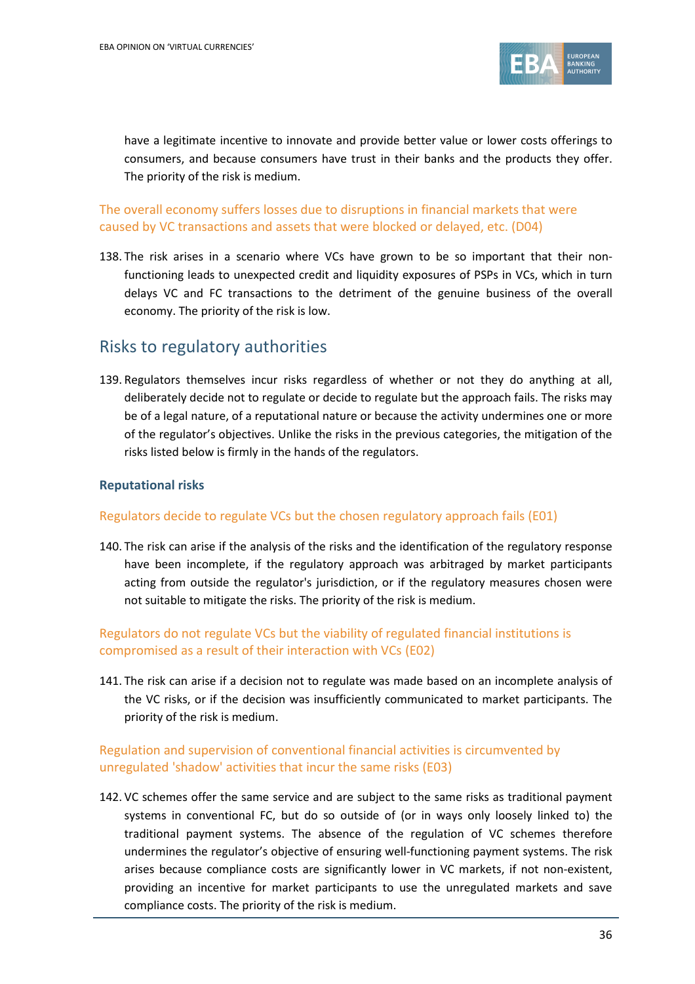

have a legitimate incentive to innovate and provide better value or lower costs offerings to consumers, and because consumers have trust in their banks and the products they offer. The priority of the risk is medium.

## The overall economy suffers losses due to disruptions in financial markets that were caused by VC transactions and assets that were blocked or delayed, etc. (D04)

138. The risk arises in a scenario where VCs have grown to be so important that their nonfunctioning leads to unexpected credit and liquidity exposures of PSPs in VCs, which in turn delays VC and FC transactions to the detriment of the genuine business of the overall economy. The priority of the risk is low.

## Risks to regulatory authorities

139. Regulators themselves incur risks regardless of whether or not they do anything at all, deliberately decide not to regulate or decide to regulate but the approach fails. The risks may be of a legal nature, of a reputational nature or because the activity undermines one or more of the regulator's objectives. Unlike the risks in the previous categories, the mitigation of the risks listed below is firmly in the hands of the regulators.

### **Reputational risks**

#### Regulators decide to regulate VCs but the chosen regulatory approach fails (E01)

140. The risk can arise if the analysis of the risks and the identification of the regulatory response have been incomplete, if the regulatory approach was arbitraged by market participants acting from outside the regulator's jurisdiction, or if the regulatory measures chosen were not suitable to mitigate the risks. The priority of the risk is medium.

## Regulators do not regulate VCs but the viability of regulated financial institutions is compromised as a result of their interaction with VCs (E02)

141. The risk can arise if a decision not to regulate was made based on an incomplete analysis of the VC risks, or if the decision was insufficiently communicated to market participants. The priority of the risk is medium.

### Regulation and supervision of conventional financial activities is circumvented by unregulated 'shadow' activities that incur the same risks (E03)

142. VC schemes offer the same service and are subject to the same risks as traditional payment systems in conventional FC, but do so outside of (or in ways only loosely linked to) the traditional payment systems. The absence of the regulation of VC schemes therefore undermines the regulator's objective of ensuring well-functioning payment systems. The risk arises because compliance costs are significantly lower in VC markets, if not non-existent, providing an incentive for market participants to use the unregulated markets and save compliance costs. The priority of the risk is medium.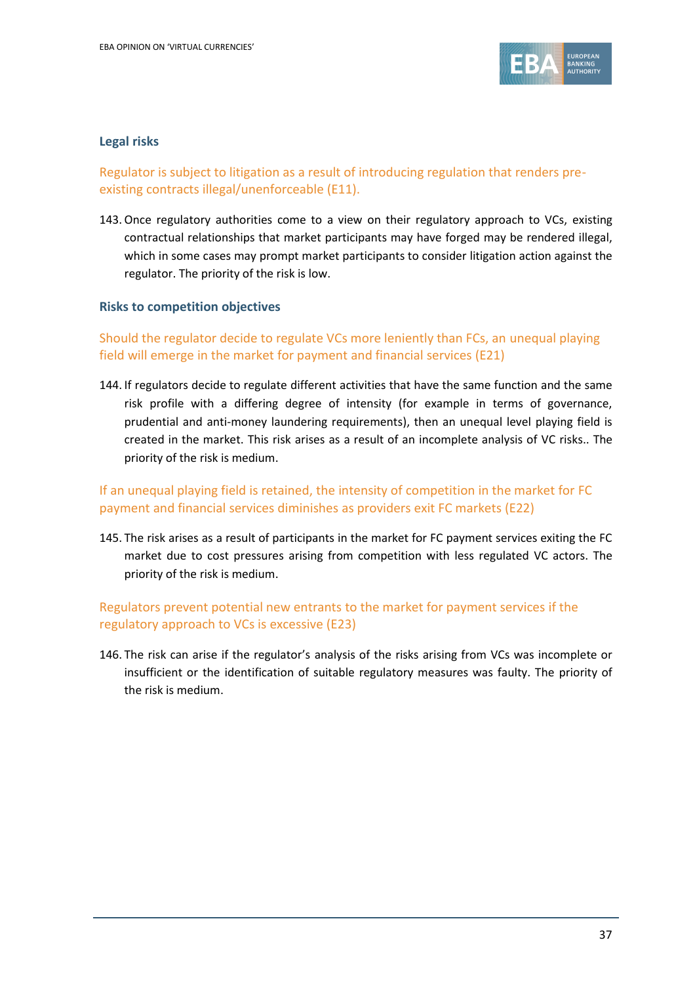

### **Legal risks**

## Regulator is subject to litigation as a result of introducing regulation that renders preexisting contracts illegal/unenforceable (E11).

143.Once regulatory authorities come to a view on their regulatory approach to VCs, existing contractual relationships that market participants may have forged may be rendered illegal, which in some cases may prompt market participants to consider litigation action against the regulator. The priority of the risk is low.

#### **Risks to competition objectives**

## Should the regulator decide to regulate VCs more leniently than FCs, an unequal playing field will emerge in the market for payment and financial services (E21)

144. If regulators decide to regulate different activities that have the same function and the same risk profile with a differing degree of intensity (for example in terms of governance, prudential and anti-money laundering requirements), then an unequal level playing field is created in the market. This risk arises as a result of an incomplete analysis of VC risks.. The priority of the risk is medium.

## If an unequal playing field is retained, the intensity of competition in the market for FC payment and financial services diminishes as providers exit FC markets (E22)

145. The risk arises as a result of participants in the market for FC payment services exiting the FC market due to cost pressures arising from competition with less regulated VC actors. The priority of the risk is medium.

## Regulators prevent potential new entrants to the market for payment services if the regulatory approach to VCs is excessive (E23)

146. The risk can arise if the regulator's analysis of the risks arising from VCs was incomplete or insufficient or the identification of suitable regulatory measures was faulty. The priority of the risk is medium.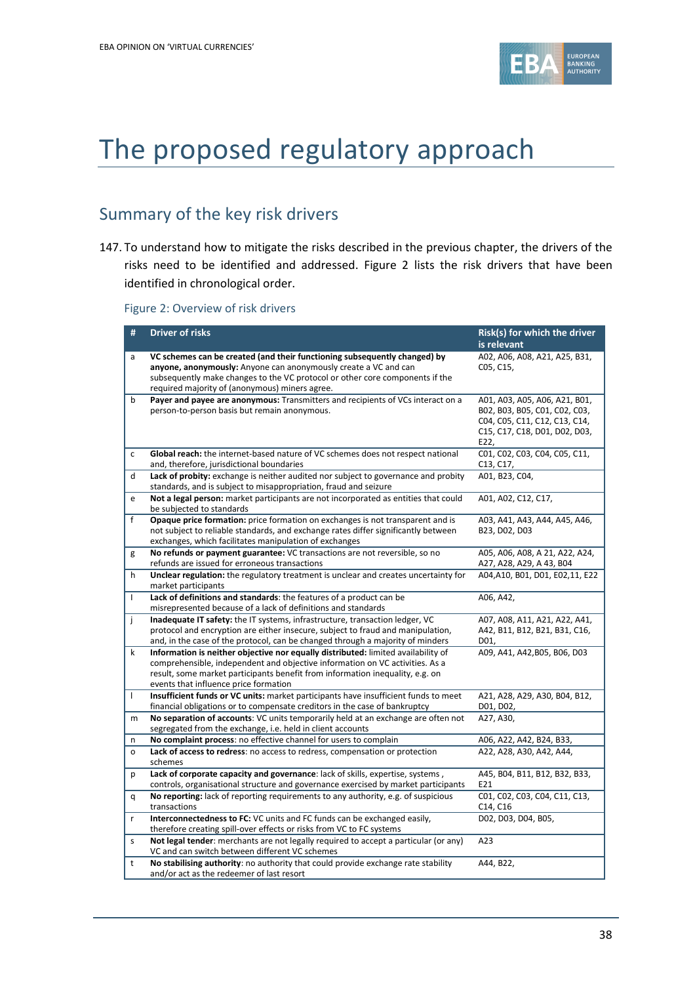

# The proposed regulatory approach

# Summary of the key risk drivers

147. To understand how to mitigate the risks described in the previous chapter, the drivers of the risks need to be identified and addressed. Figure 2 lists the risk drivers that have been identified in chronological order.

Figure 2: Overview of risk drivers

| #            | <b>Driver of risks</b>                                                                                                                                                                                                                                                                      | Risk(s) for which the driver<br>is relevant                                                                                              |
|--------------|---------------------------------------------------------------------------------------------------------------------------------------------------------------------------------------------------------------------------------------------------------------------------------------------|------------------------------------------------------------------------------------------------------------------------------------------|
| a            | VC schemes can be created (and their functioning subsequently changed) by<br>anyone, anonymously: Anyone can anonymously create a VC and can<br>subsequently make changes to the VC protocol or other core components if the<br>required majority of (anonymous) miners agree.              | A02, A06, A08, A21, A25, B31,<br>C05, C15,                                                                                               |
| b            | Payer and payee are anonymous: Transmitters and recipients of VCs interact on a<br>person-to-person basis but remain anonymous.                                                                                                                                                             | A01, A03, A05, A06, A21, B01,<br>B02, B03, B05, C01, C02, C03,<br>C04, C05, C11, C12, C13, C14,<br>C15, C17, C18, D01, D02, D03,<br>E22, |
| $\mathsf{C}$ | Global reach: the internet-based nature of VC schemes does not respect national<br>and, therefore, jurisdictional boundaries                                                                                                                                                                | C01, C02, C03, C04, C05, C11,<br>C13, C17,                                                                                               |
| d            | Lack of probity: exchange is neither audited nor subject to governance and probity<br>standards, and is subject to misappropriation, fraud and seizure                                                                                                                                      | A01, B23, C04,                                                                                                                           |
| e            | Not a legal person: market participants are not incorporated as entities that could<br>be subjected to standards                                                                                                                                                                            | A01, A02, C12, C17,                                                                                                                      |
| f            | Opaque price formation: price formation on exchanges is not transparent and is<br>not subject to reliable standards, and exchange rates differ significantly between<br>exchanges, which facilitates manipulation of exchanges                                                              | A03, A41, A43, A44, A45, A46,<br>B23, D02, D03                                                                                           |
| g            | No refunds or payment guarantee: VC transactions are not reversible, so no<br>refunds are issued for erroneous transactions                                                                                                                                                                 | A05, A06, A08, A 21, A22, A24,<br>A27, A28, A29, A 43, B04                                                                               |
| h            | Unclear regulation: the regulatory treatment is unclear and creates uncertainty for<br>market participants                                                                                                                                                                                  | A04, A10, B01, D01, E02, 11, E22                                                                                                         |
| $\mathbf{I}$ | Lack of definitions and standards: the features of a product can be<br>misrepresented because of a lack of definitions and standards                                                                                                                                                        | A06, A42,                                                                                                                                |
| Ť            | Inadequate IT safety: the IT systems, infrastructure, transaction ledger, VC<br>protocol and encryption are either insecure, subject to fraud and manipulation,<br>and, in the case of the protocol, can be changed through a majority of minders                                           | A07, A08, A11, A21, A22, A41,<br>A42, B11, B12, B21, B31, C16,<br>D01,                                                                   |
| k            | Information is neither objective nor equally distributed: limited availability of<br>comprehensible, independent and objective information on VC activities. As a<br>result, some market participants benefit from information inequality, e.g. on<br>events that influence price formation | A09, A41, A42, B05, B06, D03                                                                                                             |
| $\mathbf{I}$ | Insufficient funds or VC units: market participants have insufficient funds to meet<br>financial obligations or to compensate creditors in the case of bankruptcy                                                                                                                           | A21, A28, A29, A30, B04, B12,<br>D01, D02,                                                                                               |
| m            | No separation of accounts: VC units temporarily held at an exchange are often not<br>segregated from the exchange, i.e. held in client accounts                                                                                                                                             | A27, A30,                                                                                                                                |
| n            | No complaint process: no effective channel for users to complain                                                                                                                                                                                                                            | A06, A22, A42, B24, B33,                                                                                                                 |
| $\circ$      | Lack of access to redress: no access to redress, compensation or protection<br>schemes                                                                                                                                                                                                      | A22, A28, A30, A42, A44,                                                                                                                 |
| p            | Lack of corporate capacity and governance: lack of skills, expertise, systems,<br>controls, organisational structure and governance exercised by market participants                                                                                                                        | A45, B04, B11, B12, B32, B33,<br>E21                                                                                                     |
| q            | No reporting: lack of reporting requirements to any authority, e.g. of suspicious<br>transactions                                                                                                                                                                                           | C01, C02, C03, C04, C11, C13,<br>C14, C16                                                                                                |
| r            | Interconnectedness to FC: VC units and FC funds can be exchanged easily,<br>therefore creating spill-over effects or risks from VC to FC systems                                                                                                                                            | D02, D03, D04, B05,                                                                                                                      |
| S            | Not legal tender: merchants are not legally required to accept a particular (or any)<br>VC and can switch between different VC schemes                                                                                                                                                      | A23                                                                                                                                      |
| t            | No stabilising authority: no authority that could provide exchange rate stability<br>and/or act as the redeemer of last resort                                                                                                                                                              | A44, B22,                                                                                                                                |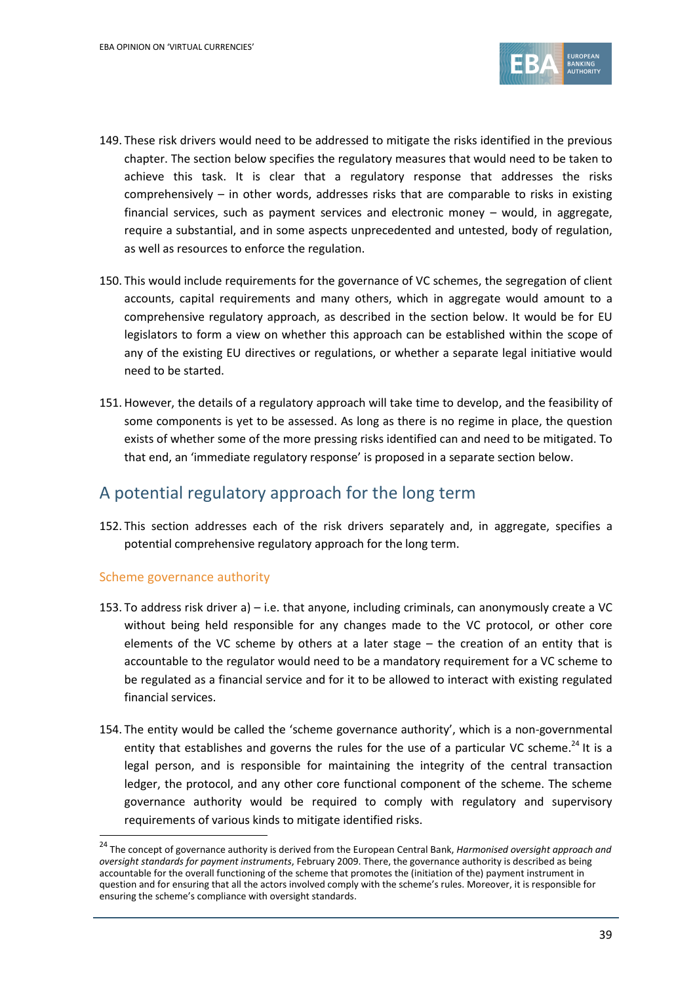

- 149. These risk drivers would need to be addressed to mitigate the risks identified in the previous chapter. The section below specifies the regulatory measures that would need to be taken to achieve this task. It is clear that a regulatory response that addresses the risks comprehensively – in other words, addresses risks that are comparable to risks in existing financial services, such as payment services and electronic money – would, in aggregate, require a substantial, and in some aspects unprecedented and untested, body of regulation, as well as resources to enforce the regulation.
- 150. This would include requirements for the governance of VC schemes, the segregation of client accounts, capital requirements and many others, which in aggregate would amount to a comprehensive regulatory approach, as described in the section below. It would be for EU legislators to form a view on whether this approach can be established within the scope of any of the existing EU directives or regulations, or whether a separate legal initiative would need to be started.
- 151. However, the details of a regulatory approach will take time to develop, and the feasibility of some components is yet to be assessed. As long as there is no regime in place, the question exists of whether some of the more pressing risks identified can and need to be mitigated. To that end, an 'immediate regulatory response' is proposed in a separate section below.

## A potential regulatory approach for the long term

152. This section addresses each of the risk drivers separately and, in aggregate, specifies a potential comprehensive regulatory approach for the long term.

#### Scheme governance authority

1

- 153. To address risk driver a) i.e. that anyone, including criminals, can anonymously create a VC without being held responsible for any changes made to the VC protocol, or other core elements of the VC scheme by others at a later stage – the creation of an entity that is accountable to the regulator would need to be a mandatory requirement for a VC scheme to be regulated as a financial service and for it to be allowed to interact with existing regulated financial services.
- 154. The entity would be called the 'scheme governance authority', which is a non-governmental entity that establishes and governs the rules for the use of a particular VC scheme.<sup>24</sup> It is a legal person, and is responsible for maintaining the integrity of the central transaction ledger, the protocol, and any other core functional component of the scheme. The scheme governance authority would be required to comply with regulatory and supervisory requirements of various kinds to mitigate identified risks.

<sup>24</sup> The concept of governance authority is derived from the European Central Bank, *Harmonised oversight approach and oversight standards for payment instruments*, February 2009. There, the governance authority is described as being accountable for the overall functioning of the scheme that promotes the (initiation of the) payment instrument in question and for ensuring that all the actors involved comply with the scheme's rules. Moreover, it is responsible for ensuring the scheme's compliance with oversight standards.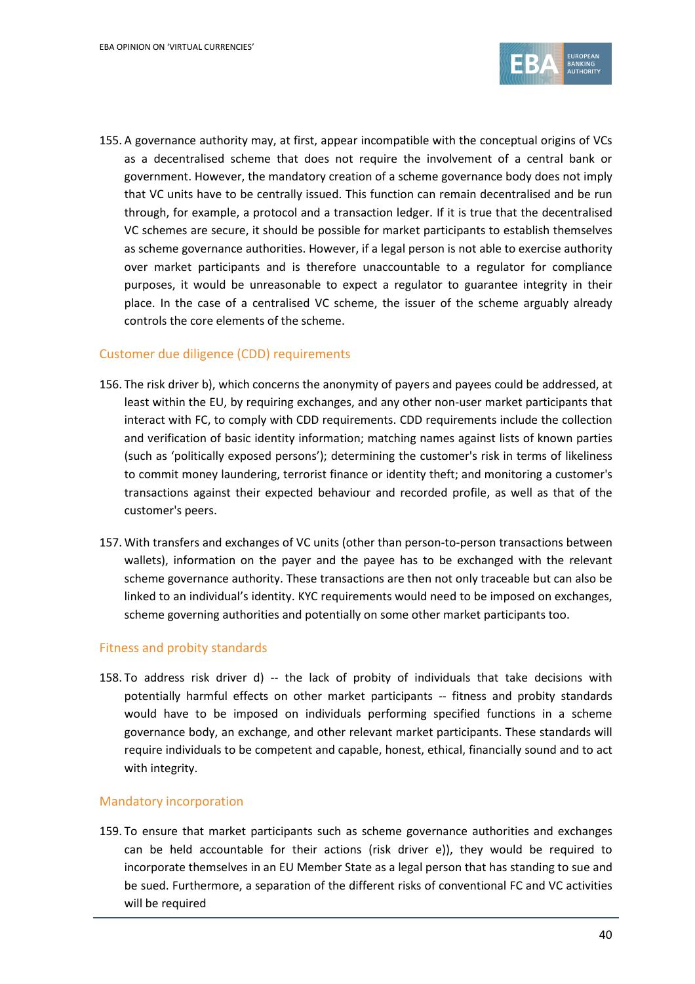

155. A governance authority may, at first, appear incompatible with the conceptual origins of VCs as a decentralised scheme that does not require the involvement of a central bank or government. However, the mandatory creation of a scheme governance body does not imply that VC units have to be centrally issued. This function can remain decentralised and be run through, for example, a protocol and a transaction ledger. If it is true that the decentralised VC schemes are secure, it should be possible for market participants to establish themselves as scheme governance authorities. However, if a legal person is not able to exercise authority over market participants and is therefore unaccountable to a regulator for compliance purposes, it would be unreasonable to expect a regulator to guarantee integrity in their place. In the case of a centralised VC scheme, the issuer of the scheme arguably already controls the core elements of the scheme.

#### Customer due diligence (CDD) requirements

- 156. The risk driver b), which concerns the anonymity of payers and payees could be addressed, at least within the EU, by requiring exchanges, and any other non-user market participants that interact with FC, to comply with CDD requirements. CDD requirements include the collection and verification of basic identity information; matching names against lists of known parties (such as '[politically exposed persons](http://en.wikipedia.org/wiki/Politically_exposed_person)'); determining the customer's risk in terms of likeliness to commit money laundering, terrorist finance or identity theft; and monitoring a customer's transactions against their expected behaviour and recorded profile, as well as that of the customer's peers.
- 157. With transfers and exchanges of VC units (other than person-to-person transactions between wallets), information on the payer and the payee has to be exchanged with the relevant scheme governance authority. These transactions are then not only traceable but can also be linked to an individual's identity. KYC requirements would need to be imposed on exchanges, scheme governing authorities and potentially on some other market participants too.

#### Fitness and probity standards

158. To address risk driver d) -- the lack of probity of individuals that take decisions with potentially harmful effects on other market participants -- fitness and probity standards would have to be imposed on individuals performing specified functions in a scheme governance body, an exchange, and other relevant market participants. These standards will require individuals to be competent and capable, honest, ethical, financially sound and to act with integrity.

#### Mandatory incorporation

159. To ensure that market participants such as scheme governance authorities and exchanges can be held accountable for their actions (risk driver e)), they would be required to incorporate themselves in an EU Member State as a legal person that has standing to sue and be sued. Furthermore, a separation of the different risks of conventional FC and VC activities will be required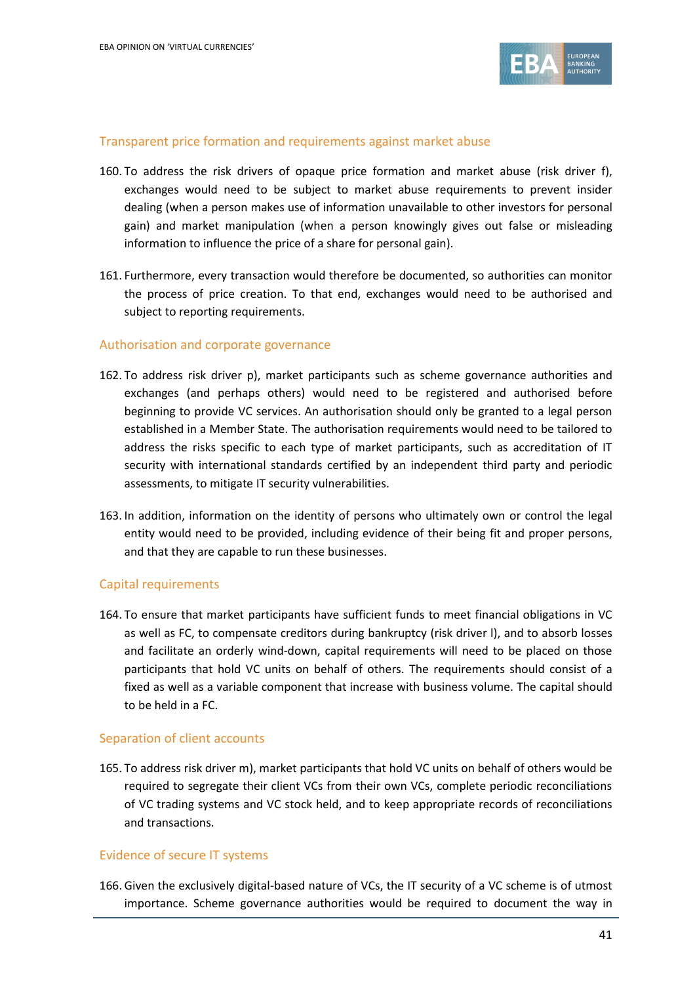

#### Transparent price formation and requirements against market abuse

- 160. To address the risk drivers of opaque price formation and market abuse (risk driver f), exchanges would need to be subject to market abuse requirements to prevent [insider](http://en.wikipedia.org/wiki/Insider_dealing)  [dealing](http://en.wikipedia.org/wiki/Insider_dealing) (when a person makes use of information unavailable to other investors for personal gain) and market manipulation (when a person knowingly gives out false or misleading information to influence the price of a share for personal gain).
- 161. Furthermore, every transaction would therefore be documented, so authorities can monitor the process of price creation. To that end, exchanges would need to be authorised and subject to reporting requirements.

#### Authorisation and corporate governance

- 162. To address risk driver p), market participants such as scheme governance authorities and exchanges (and perhaps others) would need to be registered and authorised before beginning to provide VC services. An authorisation should only be granted to a legal person established in a Member State. The authorisation requirements would need to be tailored to address the risks specific to each type of market participants, such as accreditation of IT security with international standards certified by an independent third party and periodic assessments, to mitigate IT security vulnerabilities.
- 163. In addition, information on the identity of persons who ultimately own or control the legal entity would need to be provided, including evidence of their being fit and proper persons, and that they are capable to run these businesses.

#### Capital requirements

164. To ensure that market participants have sufficient funds to meet financial obligations in VC as well as FC, to compensate creditors during bankruptcy (risk driver l), and to absorb losses and facilitate an orderly wind-down, capital requirements will need to be placed on those participants that hold VC units on behalf of others. The requirements should consist of a fixed as well as a variable component that increase with business volume. The capital should to be held in a FC.

#### Separation of client accounts

165. To address risk driver m), market participants that hold VC units on behalf of others would be required to segregate their client VCs from their own VCs, complete periodic reconciliations of VC trading systems and VC stock held, and to keep appropriate records of reconciliations and transactions.

#### Evidence of secure IT systems

166. Given the exclusively digital-based nature of VCs, the IT security of a VC scheme is of utmost importance. Scheme governance authorities would be required to document the way in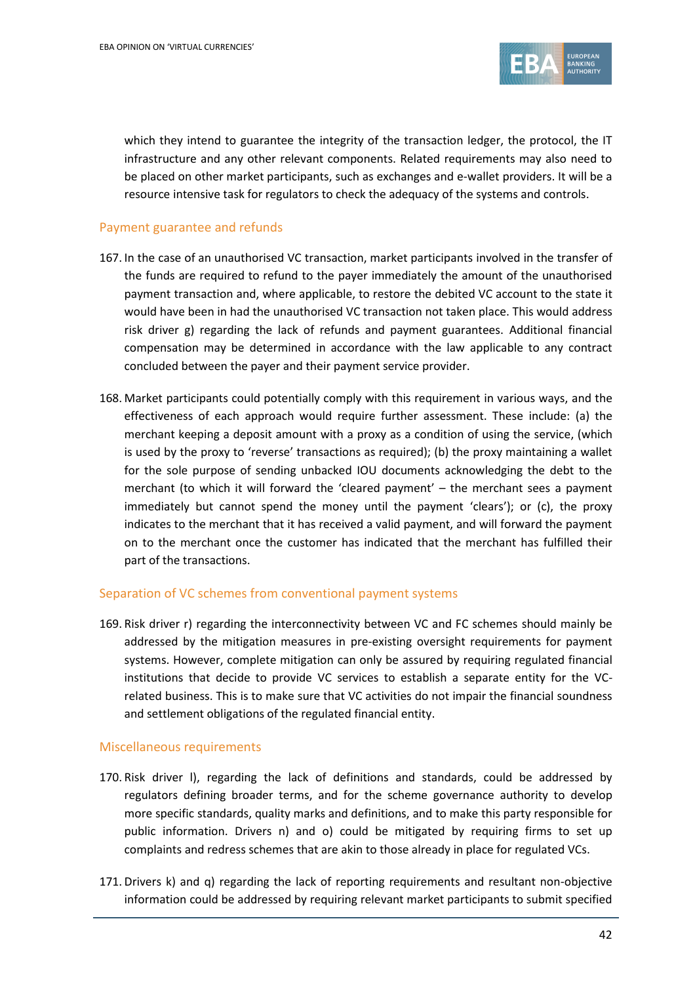

which they intend to guarantee the integrity of the transaction ledger, the protocol, the IT infrastructure and any other relevant components. Related requirements may also need to be placed on other market participants, such as exchanges and e-wallet providers. It will be a resource intensive task for regulators to check the adequacy of the systems and controls.

#### Payment guarantee and refunds

- 167. In the case of an unauthorised VC transaction, market participants involved in the transfer of the funds are required to refund to the payer immediately the amount of the unauthorised payment transaction and, where applicable, to restore the debited VC account to the state it would have been in had the unauthorised VC transaction not taken place. This would address risk driver g) regarding the lack of refunds and payment guarantees. Additional financial compensation may be determined in accordance with the law applicable to any contract concluded between the payer and their payment service provider.
- 168. Market participants could potentially comply with this requirement in various ways, and the effectiveness of each approach would require further assessment. These include: (a) the merchant keeping a deposit amount with a proxy as a condition of using the service, (which is used by the proxy to 'reverse' transactions as required); (b) the proxy maintaining a wallet for the sole purpose of sending unbacked IOU documents acknowledging the debt to the merchant (to which it will forward the 'cleared payment' – the merchant sees a payment immediately but cannot spend the money until the payment 'clears'); or (c), the proxy indicates to the merchant that it has received a valid payment, and will forward the payment on to the merchant once the customer has indicated that the merchant has fulfilled their part of the transactions.

#### Separation of VC schemes from conventional payment systems

169. Risk driver r) regarding the interconnectivity between VC and FC schemes should mainly be addressed by the mitigation measures in pre-existing oversight requirements for payment systems. However, complete mitigation can only be assured by requiring regulated financial institutions that decide to provide VC services to establish a separate entity for the VCrelated business. This is to make sure that VC activities do not impair the financial soundness and settlement obligations of the regulated financial entity.

#### Miscellaneous requirements

- 170. Risk driver l), regarding the lack of definitions and standards, could be addressed by regulators defining broader terms, and for the scheme governance authority to develop more specific standards, quality marks and definitions, and to make this party responsible for public information. Drivers n) and o) could be mitigated by requiring firms to set up complaints and redress schemes that are akin to those already in place for regulated VCs.
- 171. Drivers k) and q) regarding the lack of reporting requirements and resultant non-objective information could be addressed by requiring relevant market participants to submit specified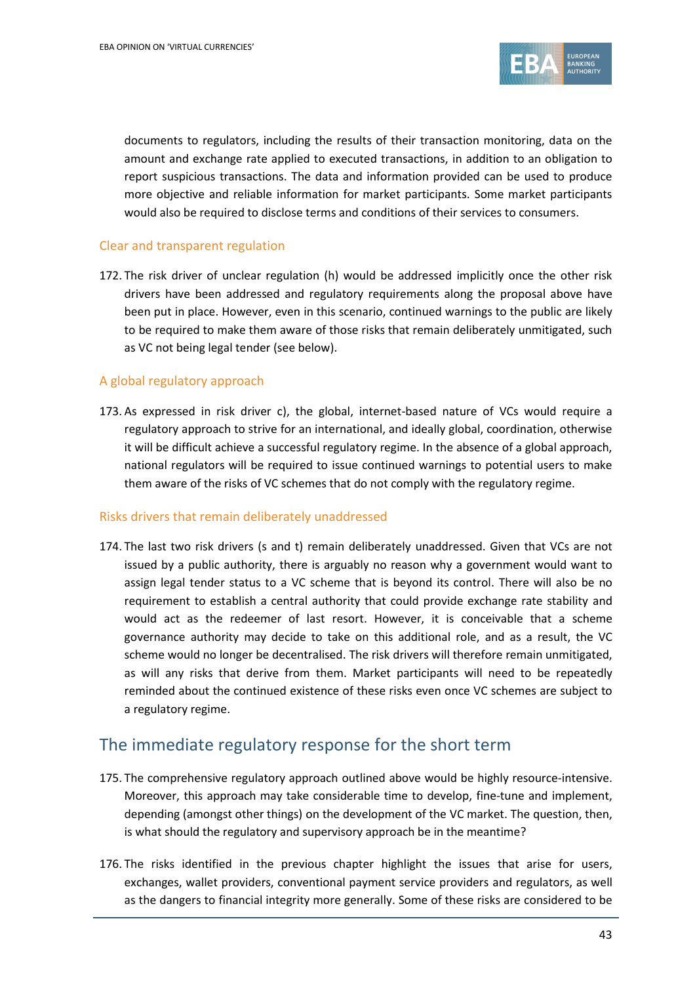

documents to regulators, including the results of their transaction monitoring, data on the amount and exchange rate applied to executed transactions, in addition to an obligation to report suspicious transactions. The data and information provided can be used to produce more objective and reliable information for market participants. Some market participants would also be required to disclose terms and conditions of their services to consumers.

#### Clear and transparent regulation

172. The risk driver of unclear regulation (h) would be addressed implicitly once the other risk drivers have been addressed and regulatory requirements along the proposal above have been put in place. However, even in this scenario, continued warnings to the public are likely to be required to make them aware of those risks that remain deliberately unmitigated, such as VC not being legal tender (see below).

#### A global regulatory approach

173. As expressed in risk driver c), the global, internet-based nature of VCs would require a regulatory approach to strive for an international, and ideally global, coordination, otherwise it will be difficult achieve a successful regulatory regime. In the absence of a global approach, national regulators will be required to issue continued warnings to potential users to make them aware of the risks of VC schemes that do not comply with the regulatory regime.

#### Risks drivers that remain deliberately unaddressed

174. The last two risk drivers (s and t) remain deliberately unaddressed. Given that VCs are not issued by a public authority, there is arguably no reason why a government would want to assign legal tender status to a VC scheme that is beyond its control. There will also be no requirement to establish a central authority that could provide exchange rate stability and would act as the redeemer of last resort. However, it is conceivable that a scheme governance authority may decide to take on this additional role, and as a result, the VC scheme would no longer be decentralised. The risk drivers will therefore remain unmitigated, as will any risks that derive from them. Market participants will need to be repeatedly reminded about the continued existence of these risks even once VC schemes are subject to a regulatory regime.

## The immediate regulatory response for the short term

- 175. The comprehensive regulatory approach outlined above would be highly resource-intensive. Moreover, this approach may take considerable time to develop, fine-tune and implement, depending (amongst other things) on the development of the VC market. The question, then, is what should the regulatory and supervisory approach be in the meantime?
- 176. The risks identified in the previous chapter highlight the issues that arise for users, exchanges, wallet providers, conventional payment service providers and regulators, as well as the dangers to financial integrity more generally. Some of these risks are considered to be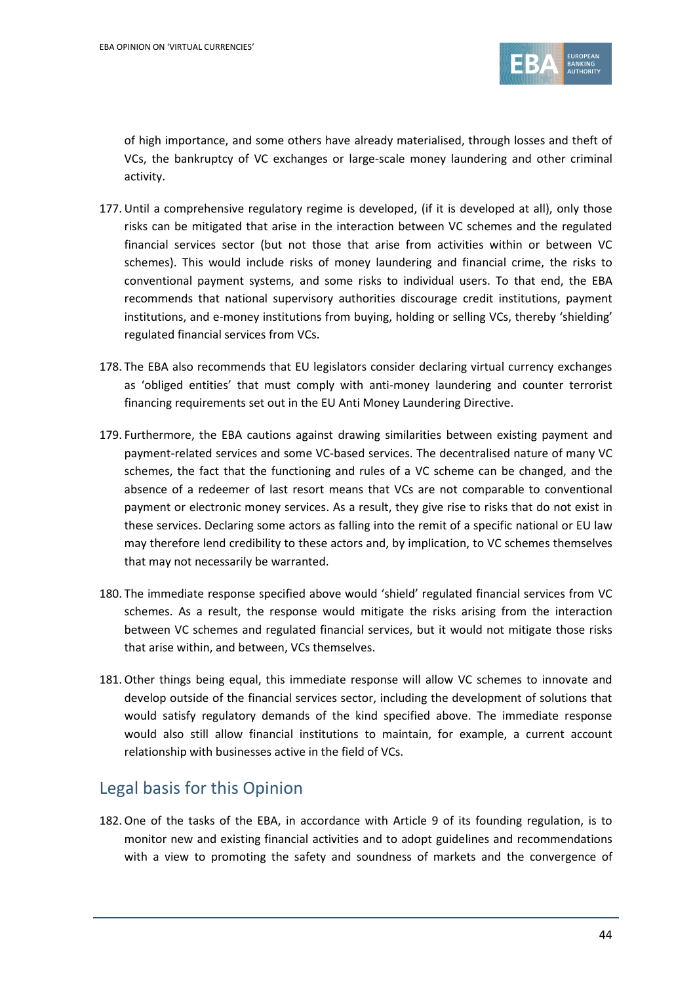

of high importance, and some others have already materialised, through losses and theft of VCs, the bankruptcy of VC exchanges or large-scale money laundering and other criminal activity.

- 177. Until a comprehensive regulatory regime is developed, (if it is developed at all), only those risks can be mitigated that arise in the interaction between VC schemes and the regulated financial services sector (but not those that arise from activities within or between VC schemes). This would include risks of money laundering and financial crime, the risks to conventional payment systems, and some risks to individual users. To that end, the EBA recommends that national supervisory authorities discourage credit institutions, payment institutions, and e-money institutions from buying, holding or selling VCs, thereby 'shielding' regulated financial services from VCs.
- 178. The EBA also recommends that EU legislators consider declaring virtual currency exchanges as 'obliged entities' that must comply with anti-money laundering and counter terrorist financing requirements set out in the EU Anti Money Laundering Directive.
- 179. Furthermore, the EBA cautions against drawing similarities between existing payment and payment-related services and some VC-based services. The decentralised nature of many VC schemes, the fact that the functioning and rules of a VC scheme can be changed, and the absence of a redeemer of last resort means that VCs are not comparable to conventional payment or electronic money services. As a result, they give rise to risks that do not exist in these services. Declaring some actors as falling into the remit of a specific national or EU law may therefore lend credibility to these actors and, by implication, to VC schemes themselves that may not necessarily be warranted.
- 180. The immediate response specified above would 'shield' regulated financial services from VC schemes. As a result, the response would mitigate the risks arising from the interaction between VC schemes and regulated financial services, but it would not mitigate those risks that arise within, and between, VCs themselves.
- 181.Other things being equal, this immediate response will allow VC schemes to innovate and develop outside of the financial services sector, including the development of solutions that would satisfy regulatory demands of the kind specified above. The immediate response would also still allow financial institutions to maintain, for example, a current account relationship with businesses active in the field of VCs.

## Legal basis for this Opinion

182.One of the tasks of the EBA, in accordance with Article 9 of its founding regulation, is to monitor new and existing financial activities and to adopt guidelines and recommendations with a view to promoting the safety and soundness of markets and the convergence of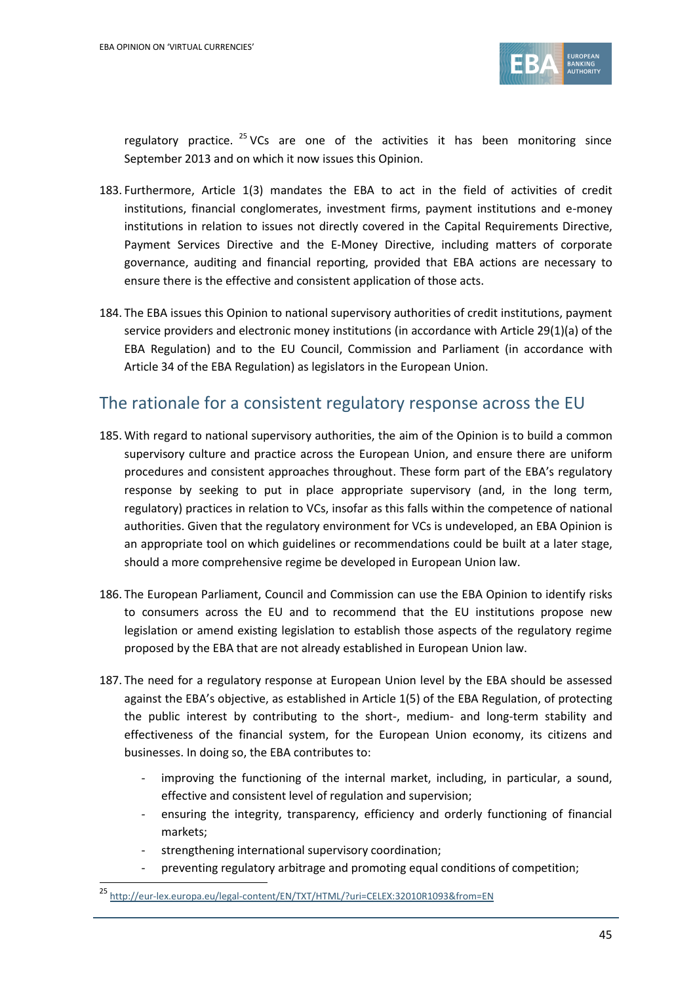

regulatory practice.  $25$  VCs are one of the activities it has been monitoring since September 2013 and on which it now issues this Opinion.

- 183. Furthermore, Article 1(3) mandates the EBA to act in the field of activities of credit institutions, financial conglomerates, investment firms, payment institutions and e-money institutions in relation to issues not directly covered in the Capital Requirements Directive, Payment Services Directive and the E-Money Directive, including matters of corporate governance, auditing and financial reporting, provided that EBA actions are necessary to ensure there is the effective and consistent application of those acts.
- 184. The EBA issues this Opinion to national supervisory authorities of credit institutions, payment service providers and electronic money institutions (in accordance with Article 29(1)(a) of the EBA Regulation) and to the EU Council, Commission and Parliament (in accordance with Article 34 of the EBA Regulation) as legislators in the European Union.

## The rationale for a consistent regulatory response across the EU

- 185. With regard to national supervisory authorities, the aim of the Opinion is to build a common supervisory culture and practice across the European Union, and ensure there are uniform procedures and consistent approaches throughout. These form part of the EBA's regulatory response by seeking to put in place appropriate supervisory (and, in the long term, regulatory) practices in relation to VCs, insofar as this falls within the competence of national authorities. Given that the regulatory environment for VCs is undeveloped, an EBA Opinion is an appropriate tool on which guidelines or recommendations could be built at a later stage, should a more comprehensive regime be developed in European Union law.
- 186. The European Parliament, Council and Commission can use the EBA Opinion to identify risks to consumers across the EU and to recommend that the EU institutions propose new legislation or amend existing legislation to establish those aspects of the regulatory regime proposed by the EBA that are not already established in European Union law.
- 187. The need for a regulatory response at European Union level by the EBA should be assessed against the EBA's objective, as established in Article 1(5) of the EBA Regulation, of protecting the public interest by contributing to the short-, medium- and long-term stability and effectiveness of the financial system, for the European Union economy, its citizens and businesses. In doing so, the EBA contributes to:
	- improving the functioning of the internal market, including, in particular, a sound, effective and consistent level of regulation and supervision;
	- ensuring the integrity, transparency, efficiency and orderly functioning of financial markets;
	- strengthening international supervisory coordination;
	- preventing regulatory arbitrage and promoting equal conditions of competition;

<sup>-&</sup>lt;br><sup>25</sup> <http://eur-lex.europa.eu/legal-content/EN/TXT/HTML/?uri=CELEX:32010R1093&from=EN>